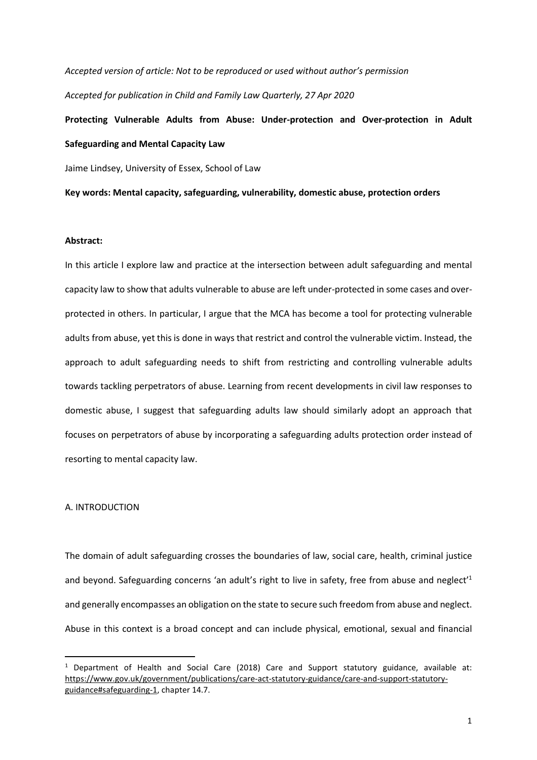*Accepted version of article: Not to be reproduced or used without author's permission Accepted for publication in Child and Family Law Quarterly, 27 Apr 2020* 

**Protecting Vulnerable Adults from Abuse: Under-protection and Over-protection in Adult Safeguarding and Mental Capacity Law** 

Jaime Lindsey, University of Essex, School of Law

**Key words: Mental capacity, safeguarding, vulnerability, domestic abuse, protection orders** 

### **Abstract:**

In this article I explore law and practice at the intersection between adult safeguarding and mental capacity law to show that adults vulnerable to abuse are left under-protected in some cases and overprotected in others. In particular, I argue that the MCA has become a tool for protecting vulnerable adults from abuse, yet this is done in ways that restrict and control the vulnerable victim. Instead, the approach to adult safeguarding needs to shift from restricting and controlling vulnerable adults towards tackling perpetrators of abuse. Learning from recent developments in civil law responses to domestic abuse, I suggest that safeguarding adults law should similarly adopt an approach that focuses on perpetrators of abuse by incorporating a safeguarding adults protection order instead of resorting to mental capacity law.

# A. INTRODUCTION

The domain of adult safeguarding crosses the boundaries of law, social care, health, criminal justice and beyond. Safeguarding concerns 'an adult's right to live in safety, free from abuse and neglect<sup>'1</sup> and generally encompasses an obligation on the state to secure such freedom from abuse and neglect. Abuse in this context is a broad concept and can include physical, emotional, sexual and financial

 $<sup>1</sup>$  Department of Health and Social Care (2018) Care and Support statutory guidance, available at:</sup> https://www.gov.uk/government/publications/care-act-statutory-guidance/care-and-support-statutoryguidance#safeguarding-1, chapter 14.7.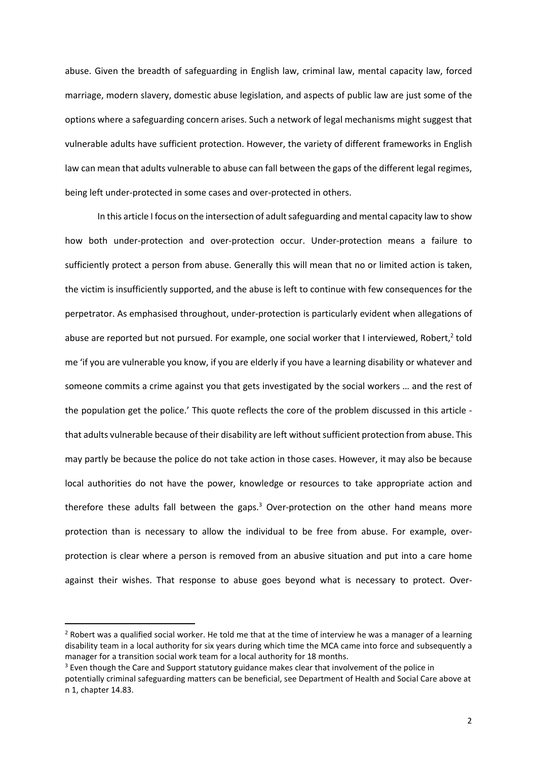abuse. Given the breadth of safeguarding in English law, criminal law, mental capacity law, forced marriage, modern slavery, domestic abuse legislation, and aspects of public law are just some of the options where a safeguarding concern arises. Such a network of legal mechanisms might suggest that vulnerable adults have sufficient protection. However, the variety of different frameworks in English law can mean that adults vulnerable to abuse can fall between the gaps of the different legal regimes, being left under-protected in some cases and over-protected in others.

In this article I focus on the intersection of adult safeguarding and mental capacity law to show how both under-protection and over-protection occur. Under-protection means a failure to sufficiently protect a person from abuse. Generally this will mean that no or limited action is taken, the victim is insufficiently supported, and the abuse is left to continue with few consequences for the perpetrator. As emphasised throughout, under-protection is particularly evident when allegations of abuse are reported but not pursued. For example, one social worker that I interviewed, Robert,<sup>2</sup> told me 'if you are vulnerable you know, if you are elderly if you have a learning disability or whatever and someone commits a crime against you that gets investigated by the social workers … and the rest of the population get the police.' This quote reflects the core of the problem discussed in this article that adults vulnerable because of their disability are left without sufficient protection from abuse. This may partly be because the police do not take action in those cases. However, it may also be because local authorities do not have the power, knowledge or resources to take appropriate action and therefore these adults fall between the gaps.<sup>3</sup> Over-protection on the other hand means more protection than is necessary to allow the individual to be free from abuse. For example, overprotection is clear where a person is removed from an abusive situation and put into a care home against their wishes. That response to abuse goes beyond what is necessary to protect. Over-

 $2$  Robert was a qualified social worker. He told me that at the time of interview he was a manager of a learning disability team in a local authority for six years during which time the MCA came into force and subsequently a manager for a transition social work team for a local authority for 18 months.

<sup>&</sup>lt;sup>3</sup> Even though the Care and Support statutory guidance makes clear that involvement of the police in

potentially criminal safeguarding matters can be beneficial, see Department of Health and Social Care above at n 1, chapter 14.83.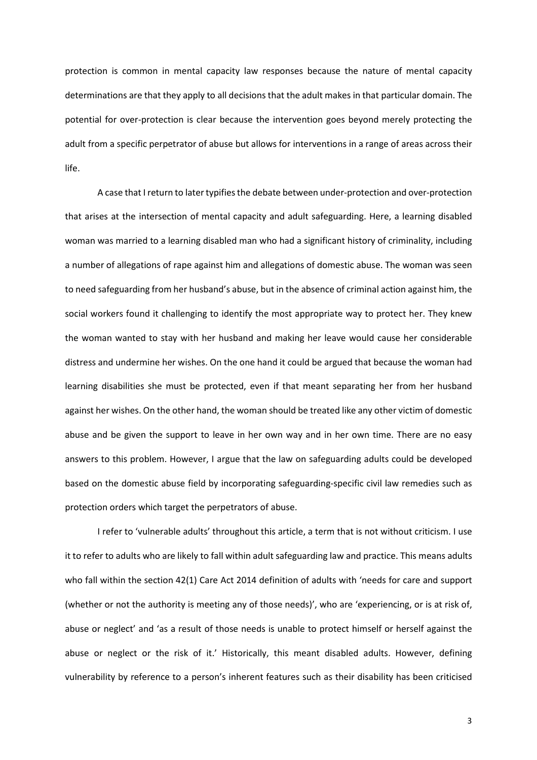protection is common in mental capacity law responses because the nature of mental capacity determinations are that they apply to all decisions that the adult makes in that particular domain. The potential for over-protection is clear because the intervention goes beyond merely protecting the adult from a specific perpetrator of abuse but allows for interventions in a range of areas across their life.

A case that I return to later typifies the debate between under-protection and over-protection that arises at the intersection of mental capacity and adult safeguarding. Here, a learning disabled woman was married to a learning disabled man who had a significant history of criminality, including a number of allegations of rape against him and allegations of domestic abuse. The woman was seen to need safeguarding from her husband's abuse, but in the absence of criminal action against him, the social workers found it challenging to identify the most appropriate way to protect her. They knew the woman wanted to stay with her husband and making her leave would cause her considerable distress and undermine her wishes. On the one hand it could be argued that because the woman had learning disabilities she must be protected, even if that meant separating her from her husband against her wishes. On the other hand, the woman should be treated like any other victim of domestic abuse and be given the support to leave in her own way and in her own time. There are no easy answers to this problem. However, I argue that the law on safeguarding adults could be developed based on the domestic abuse field by incorporating safeguarding-specific civil law remedies such as protection orders which target the perpetrators of abuse.

I refer to 'vulnerable adults' throughout this article, a term that is not without criticism. I use it to refer to adults who are likely to fall within adult safeguarding law and practice. This means adults who fall within the section 42(1) Care Act 2014 definition of adults with 'needs for care and support (whether or not the authority is meeting any of those needs)', who are 'experiencing, or is at risk of, abuse or neglect' and 'as a result of those needs is unable to protect himself or herself against the abuse or neglect or the risk of it.' Historically, this meant disabled adults. However, defining vulnerability by reference to a person's inherent features such as their disability has been criticised

3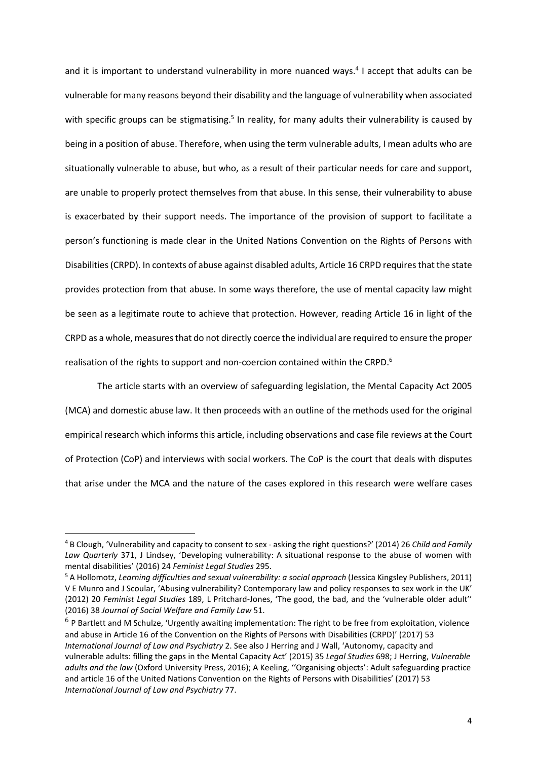and it is important to understand vulnerability in more nuanced ways.<sup>4</sup> I accept that adults can be vulnerable for many reasons beyond their disability and the language of vulnerability when associated with specific groups can be stigmatising.<sup>5</sup> In reality, for many adults their vulnerability is caused by being in a position of abuse. Therefore, when using the term vulnerable adults, I mean adults who are situationally vulnerable to abuse, but who, as a result of their particular needs for care and support, are unable to properly protect themselves from that abuse. In this sense, their vulnerability to abuse is exacerbated by their support needs. The importance of the provision of support to facilitate a person's functioning is made clear in the United Nations Convention on the Rights of Persons with Disabilities (CRPD). In contexts of abuse against disabled adults, Article 16 CRPD requires that the state provides protection from that abuse. In some ways therefore, the use of mental capacity law might be seen as a legitimate route to achieve that protection. However, reading Article 16 in light of the CRPD as a whole, measures that do not directly coerce the individual are required to ensure the proper realisation of the rights to support and non-coercion contained within the CRPD.<sup>6</sup>

The article starts with an overview of safeguarding legislation, the Mental Capacity Act 2005 (MCA) and domestic abuse law. It then proceeds with an outline of the methods used for the original empirical research which informs this article, including observations and case file reviews at the Court of Protection (CoP) and interviews with social workers. The CoP is the court that deals with disputes that arise under the MCA and the nature of the cases explored in this research were welfare cases

<sup>4</sup> B Clough, 'Vulnerability and capacity to consent to sex - asking the right questions?' (2014) 26 *Child and Family Law Quarterly* 371, J Lindsey, 'Developing vulnerability: A situational response to the abuse of women with mental disabilities' (2016) 24 *Feminist Legal Studies* 295.

<sup>5</sup> A Hollomotz, *Learning difficulties and sexual vulnerability: a social approach* (Jessica Kingsley Publishers, 2011) V E Munro and J Scoular, 'Abusing vulnerability? Contemporary law and policy responses to sex work in the UK' (2012) 20 *Feminist Legal Studies* 189, L Pritchard-Jones, 'The good, the bad, and the 'vulnerable older adult'' (2016) 38 *Journal of Social Welfare and Family Law* 51.

<sup>&</sup>lt;sup>6</sup> P Bartlett and M Schulze, 'Urgently awaiting implementation: The right to be free from exploitation, violence and abuse in Article 16 of the Convention on the Rights of Persons with Disabilities (CRPD)' (2017) 53 *International Journal of Law and Psychiatry* 2. See also J Herring and J Wall, 'Autonomy, capacity and vulnerable adults: filling the gaps in the Mental Capacity Act' (2015) 35 *Legal Studies* 698; J Herring, *Vulnerable adults and the law* (Oxford University Press, 2016); A Keeling, ''Organising objects': Adult safeguarding practice and article 16 of the United Nations Convention on the Rights of Persons with Disabilities' (2017) 53 *International Journal of Law and Psychiatry* 77.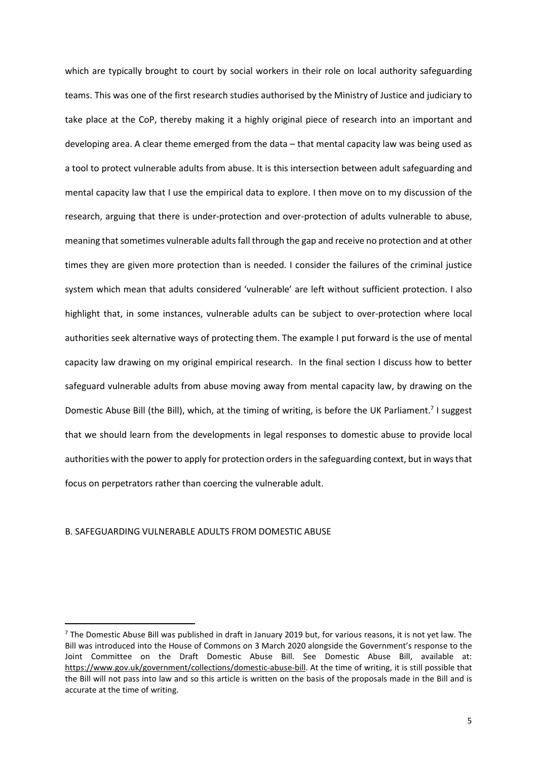which are typically brought to court by social workers in their role on local authority safeguarding teams. This was one of the first research studies authorised by the Ministry of Justice and judiciary to take place at the CoP, thereby making it a highly original piece of research into an important and developing area. A clear theme emerged from the data – that mental capacity law was being used as a tool to protect vulnerable adults from abuse. It is this intersection between adult safeguarding and mental capacity law that I use the empirical data to explore. I then move on to my discussion of the research, arguing that there is under-protection and over-protection of adults vulnerable to abuse, meaning that sometimes vulnerable adults fall through the gap and receive no protection and at other times they are given more protection than is needed. I consider the failures of the criminal justice system which mean that adults considered 'vulnerable' are left without sufficient protection. I also highlight that, in some instances, vulnerable adults can be subject to over-protection where local authorities seek alternative ways of protecting them. The example I put forward is the use of mental capacity law drawing on my original empirical research. In the final section I discuss how to better safeguard vulnerable adults from abuse moving away from mental capacity law, by drawing on the Domestic Abuse Bill (the Bill), which, at the timing of writing, is before the UK Parliament.<sup>7</sup> I suggest that we should learn from the developments in legal responses to domestic abuse to provide local authorities with the power to apply for protection orders in the safeguarding context, but in ways that focus on perpetrators rather than coercing the vulnerable adult.

## B. SAFEGUARDING VULNERABLE ADULTS FROM DOMESTIC ABUSE

 $7$  The Domestic Abuse Bill was published in draft in January 2019 but, for various reasons, it is not yet law. The Bill was introduced into the House of Commons on 3 March 2020 alongside the Government's response to the Joint Committee on the Draft Domestic Abuse Bill. See Domestic Abuse Bill, available at: https://www.gov.uk/government/collections/domestic-abuse-bill. At the time of writing, it is still possible that the Bill will not pass into law and so this article is written on the basis of the proposals made in the Bill and is accurate at the time of writing.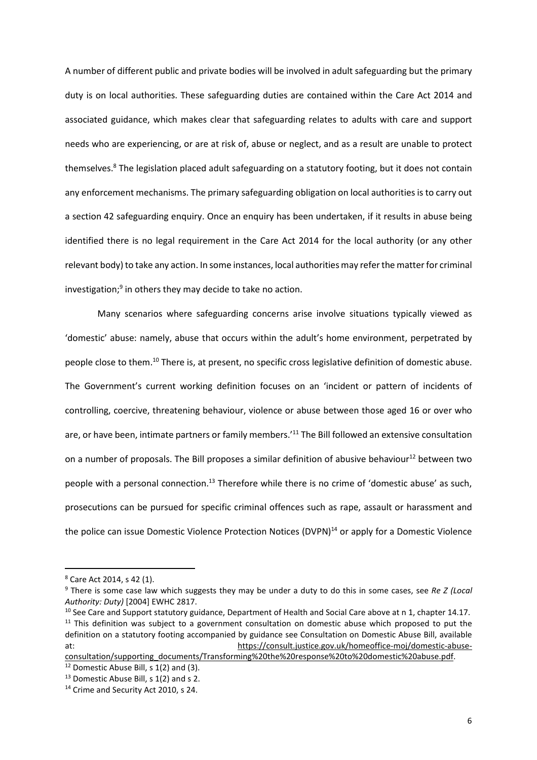A number of different public and private bodies will be involved in adult safeguarding but the primary duty is on local authorities. These safeguarding duties are contained within the Care Act 2014 and associated guidance, which makes clear that safeguarding relates to adults with care and support needs who are experiencing, or are at risk of, abuse or neglect, and as a result are unable to protect themselves.<sup>8</sup> The legislation placed adult safeguarding on a statutory footing, but it does not contain any enforcement mechanisms. The primary safeguarding obligation on local authorities is to carry out a section 42 safeguarding enquiry. Once an enquiry has been undertaken, if it results in abuse being identified there is no legal requirement in the Care Act 2014 for the local authority (or any other relevant body) to take any action. In some instances, local authorities may refer the matter for criminal investigation;<sup>9</sup> in others they may decide to take no action.

Many scenarios where safeguarding concerns arise involve situations typically viewed as 'domestic' abuse: namely, abuse that occurs within the adult's home environment, perpetrated by people close to them.<sup>10</sup> There is, at present, no specific cross legislative definition of domestic abuse. The Government's current working definition focuses on an 'incident or pattern of incidents of controlling, coercive, threatening behaviour, violence or abuse between those aged 16 or over who are, or have been, intimate partners or family members.<sup>'11</sup> The Bill followed an extensive consultation on a number of proposals. The Bill proposes a similar definition of abusive behaviour<sup>12</sup> between two people with a personal connection.<sup>13</sup> Therefore while there is no crime of 'domestic abuse' as such, prosecutions can be pursued for specific criminal offences such as rape, assault or harassment and the police can issue Domestic Violence Protection Notices (DVPN)<sup>14</sup> or apply for a Domestic Violence

<sup>&</sup>lt;sup>8</sup> Care Act 2014, s 42 (1).

<sup>9</sup> There is some case law which suggests they may be under a duty to do this in some cases, see *Re Z (Local Authority: Duty)* [2004] EWHC 2817.

<sup>&</sup>lt;sup>10</sup> See Care and Support statutory guidance, Department of Health and Social Care above at n 1, chapter 14.17. <sup>11</sup> This definition was subject to a government consultation on domestic abuse which proposed to put the definition on a statutory footing accompanied by guidance see Consultation on Domestic Abuse Bill, available at: https://consult.justice.gov.uk/homeoffice-moj/domestic-abuse-

consultation/supporting\_documents/Transforming%20the%20response%20to%20domestic%20abuse.pdf.  $12$  Domestic Abuse Bill, s 1(2) and (3).

<sup>&</sup>lt;sup>13</sup> Domestic Abuse Bill, s 1(2) and s 2.

<sup>&</sup>lt;sup>14</sup> Crime and Security Act 2010, s 24.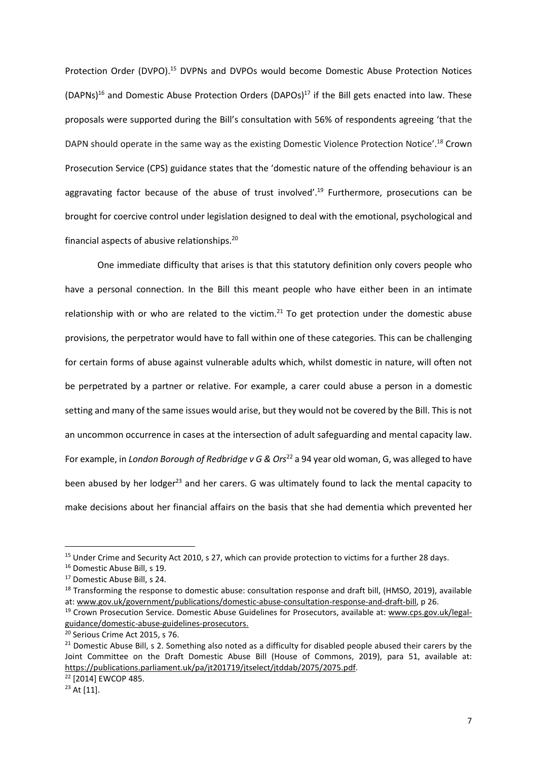Protection Order (DVPO).<sup>15</sup> DVPNs and DVPOs would become Domestic Abuse Protection Notices (DAPNs)<sup>16</sup> and Domestic Abuse Protection Orders (DAPOs)<sup>17</sup> if the Bill gets enacted into law. These proposals were supported during the Bill's consultation with 56% of respondents agreeing 'that the DAPN should operate in the same way as the existing Domestic Violence Protection Notice'.<sup>18</sup> Crown Prosecution Service (CPS) guidance states that the 'domestic nature of the offending behaviour is an aggravating factor because of the abuse of trust involved'.<sup>19</sup> Furthermore, prosecutions can be brought for coercive control under legislation designed to deal with the emotional, psychological and financial aspects of abusive relationships.<sup>20</sup>

One immediate difficulty that arises is that this statutory definition only covers people who have a personal connection. In the Bill this meant people who have either been in an intimate relationship with or who are related to the victim.<sup>21</sup> To get protection under the domestic abuse provisions, the perpetrator would have to fall within one of these categories. This can be challenging for certain forms of abuse against vulnerable adults which, whilst domestic in nature, will often not be perpetrated by a partner or relative. For example, a carer could abuse a person in a domestic setting and many of the same issues would arise, but they would not be covered by the Bill. This is not an uncommon occurrence in cases at the intersection of adult safeguarding and mental capacity law. For example, in *London Borough of Redbridge v G & Ors*<sup>22</sup> a 94 year old woman, G, was alleged to have been abused by her lodger<sup>23</sup> and her carers. G was ultimately found to lack the mental capacity to make decisions about her financial affairs on the basis that she had dementia which prevented her

<sup>&</sup>lt;sup>15</sup> Under Crime and Security Act 2010, s 27, which can provide protection to victims for a further 28 days.

<sup>16</sup> Domestic Abuse Bill, s 19.

<sup>17</sup> Domestic Abuse Bill, s 24.

<sup>&</sup>lt;sup>18</sup> Transforming the response to domestic abuse: consultation response and draft bill, (HMSO, 2019), available at: www.gov.uk/government/publications/domestic-abuse-consultation-response-and-draft-bill, p 26.

<sup>&</sup>lt;sup>19</sup> Crown Prosecution Service. Domestic Abuse Guidelines for Prosecutors, available at: www.cps.gov.uk/legalguidance/domestic-abuse-guidelines-prosecutors.

<sup>20</sup> Serious Crime Act 2015, s 76.

 $21$  Domestic Abuse Bill, s 2. Something also noted as a difficulty for disabled people abused their carers by the Joint Committee on the Draft Domestic Abuse Bill (House of Commons, 2019), para 51, available at: https://publications.parliament.uk/pa/jt201719/jtselect/jtddab/2075/2075.pdf.

<sup>22</sup> [2014] EWCOP 485.

<sup>23</sup> At [11].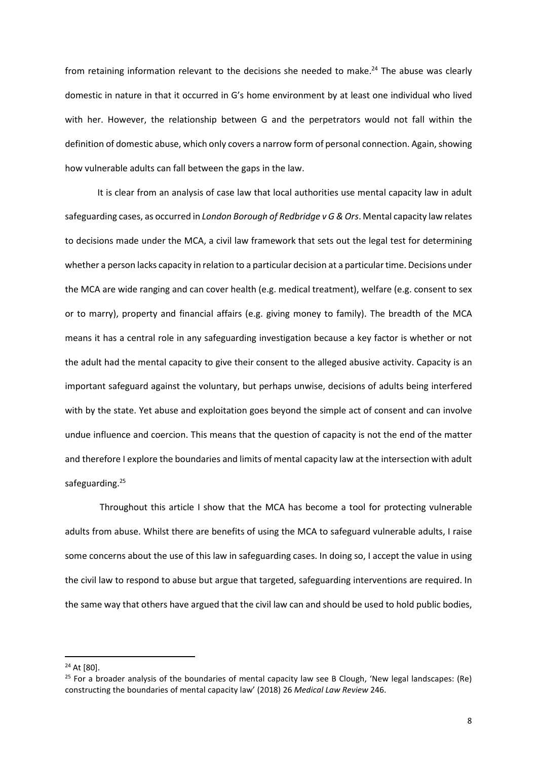from retaining information relevant to the decisions she needed to make.<sup>24</sup> The abuse was clearly domestic in nature in that it occurred in G's home environment by at least one individual who lived with her. However, the relationship between G and the perpetrators would not fall within the definition of domestic abuse, which only covers a narrow form of personal connection. Again, showing how vulnerable adults can fall between the gaps in the law.

It is clear from an analysis of case law that local authorities use mental capacity law in adult safeguarding cases, as occurred in *London Borough of Redbridge v G & Ors*. Mental capacity law relates to decisions made under the MCA, a civil law framework that sets out the legal test for determining whether a person lacks capacity in relation to a particular decision at a particular time. Decisions under the MCA are wide ranging and can cover health (e.g. medical treatment), welfare (e.g. consent to sex or to marry), property and financial affairs (e.g. giving money to family). The breadth of the MCA means it has a central role in any safeguarding investigation because a key factor is whether or not the adult had the mental capacity to give their consent to the alleged abusive activity. Capacity is an important safeguard against the voluntary, but perhaps unwise, decisions of adults being interfered with by the state. Yet abuse and exploitation goes beyond the simple act of consent and can involve undue influence and coercion. This means that the question of capacity is not the end of the matter and therefore I explore the boundaries and limits of mental capacity law at the intersection with adult safeguarding.<sup>25</sup>

 Throughout this article I show that the MCA has become a tool for protecting vulnerable adults from abuse. Whilst there are benefits of using the MCA to safeguard vulnerable adults, I raise some concerns about the use of this law in safeguarding cases. In doing so, I accept the value in using the civil law to respond to abuse but argue that targeted, safeguarding interventions are required. In the same way that others have argued that the civil law can and should be used to hold public bodies,

<sup>&</sup>lt;sup>24</sup> At [80].

 $25$  For a broader analysis of the boundaries of mental capacity law see B Clough, 'New legal landscapes: (Re) constructing the boundaries of mental capacity law' (2018) 26 *Medical Law Review* 246.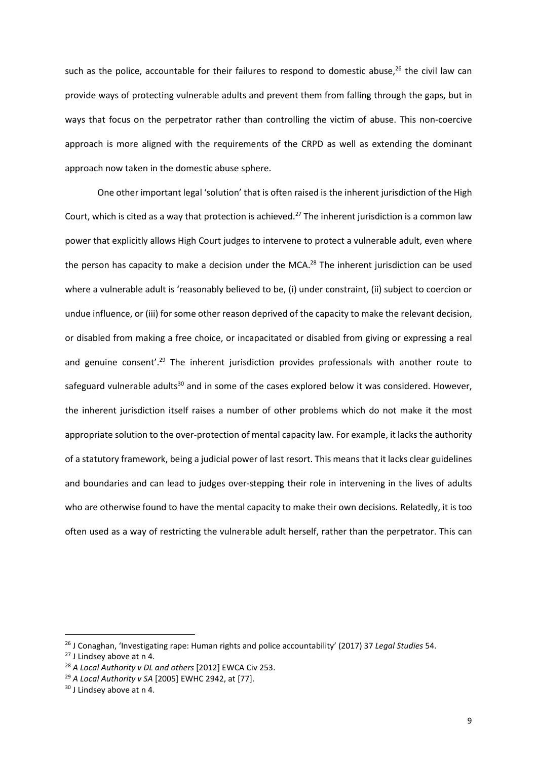such as the police, accountable for their failures to respond to domestic abuse, $^{26}$  the civil law can provide ways of protecting vulnerable adults and prevent them from falling through the gaps, but in ways that focus on the perpetrator rather than controlling the victim of abuse. This non-coercive approach is more aligned with the requirements of the CRPD as well as extending the dominant approach now taken in the domestic abuse sphere.

One other important legal 'solution' that is often raised is the inherent jurisdiction of the High Court, which is cited as a way that protection is achieved.<sup>27</sup> The inherent jurisdiction is a common law power that explicitly allows High Court judges to intervene to protect a vulnerable adult, even where the person has capacity to make a decision under the MCA.<sup>28</sup> The inherent jurisdiction can be used where a vulnerable adult is 'reasonably believed to be, (i) under constraint, (ii) subject to coercion or undue influence, or (iii) for some other reason deprived of the capacity to make the relevant decision, or disabled from making a free choice, or incapacitated or disabled from giving or expressing a real and genuine consent'.<sup>29</sup> The inherent jurisdiction provides professionals with another route to safeguard vulnerable adults<sup>30</sup> and in some of the cases explored below it was considered. However, the inherent jurisdiction itself raises a number of other problems which do not make it the most appropriate solution to the over-protection of mental capacity law. For example, it lacks the authority of a statutory framework, being a judicial power of last resort. This means that it lacks clear guidelines and boundaries and can lead to judges over-stepping their role in intervening in the lives of adults who are otherwise found to have the mental capacity to make their own decisions. Relatedly, it is too often used as a way of restricting the vulnerable adult herself, rather than the perpetrator. This can

<sup>26</sup> J Conaghan, 'Investigating rape: Human rights and police accountability' (2017) 37 *Legal Studies* 54.

<sup>27</sup> J Lindsey above at n 4.

<sup>28</sup> *A Local Authority v DL and others* [2012] EWCA Civ 253.

<sup>29</sup> *A Local Authority v SA* [2005] EWHC 2942, at [77].

<sup>&</sup>lt;sup>30</sup> J Lindsey above at n 4.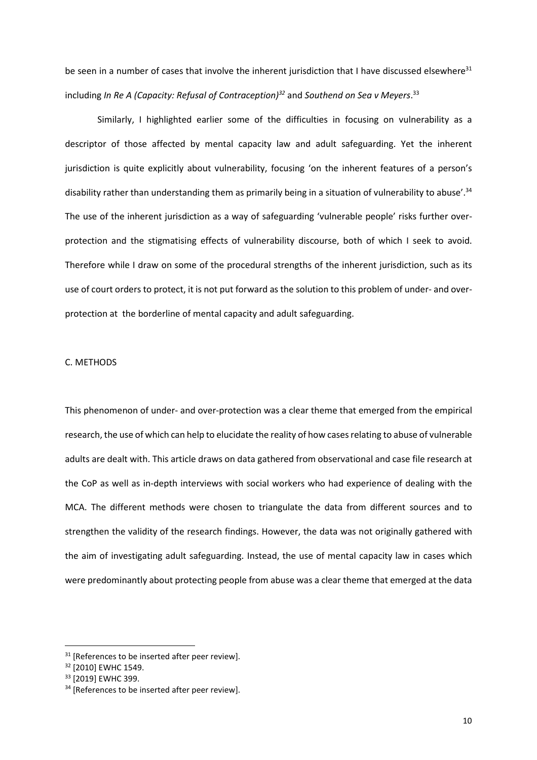be seen in a number of cases that involve the inherent jurisdiction that I have discussed elsewhere $31$ including *In Re A (Capacity: Refusal of Contraception)<sup>32</sup>* and *Southend on Sea v Meyers*. 33

Similarly, I highlighted earlier some of the difficulties in focusing on vulnerability as a descriptor of those affected by mental capacity law and adult safeguarding. Yet the inherent jurisdiction is quite explicitly about vulnerability, focusing 'on the inherent features of a person's disability rather than understanding them as primarily being in a situation of vulnerability to abuse'.<sup>34</sup> The use of the inherent jurisdiction as a way of safeguarding 'vulnerable people' risks further overprotection and the stigmatising effects of vulnerability discourse, both of which I seek to avoid. Therefore while I draw on some of the procedural strengths of the inherent jurisdiction, such as its use of court orders to protect, it is not put forward as the solution to this problem of under- and overprotection at the borderline of mental capacity and adult safeguarding.

### C. METHODS

This phenomenon of under- and over-protection was a clear theme that emerged from the empirical research, the use of which can help to elucidate the reality of how cases relating to abuse of vulnerable adults are dealt with. This article draws on data gathered from observational and case file research at the CoP as well as in-depth interviews with social workers who had experience of dealing with the MCA. The different methods were chosen to triangulate the data from different sources and to strengthen the validity of the research findings. However, the data was not originally gathered with the aim of investigating adult safeguarding. Instead, the use of mental capacity law in cases which were predominantly about protecting people from abuse was a clear theme that emerged at the data

 $31$  [References to be inserted after peer review].

<sup>&</sup>lt;sup>32</sup> [2010] EWHC 1549.

<sup>33</sup> [2019] EWHC 399.

<sup>&</sup>lt;sup>34</sup> [References to be inserted after peer review].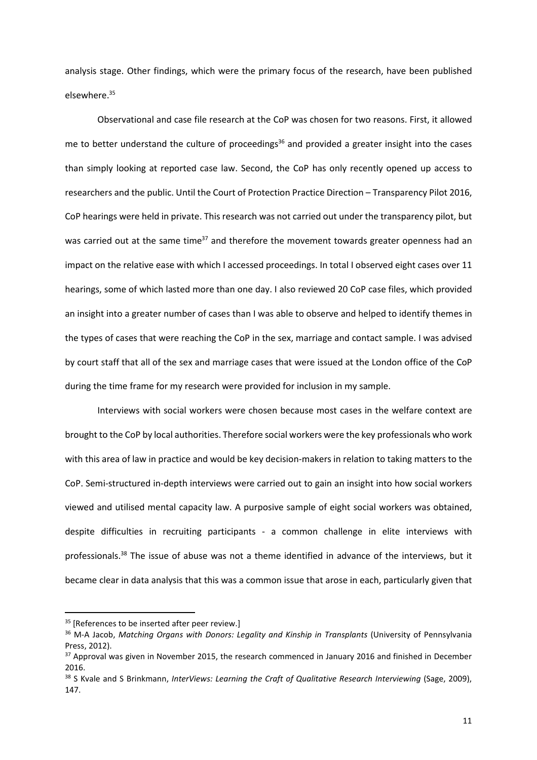analysis stage. Other findings, which were the primary focus of the research, have been published elsewhere.<sup>35</sup>

Observational and case file research at the CoP was chosen for two reasons. First, it allowed me to better understand the culture of proceedings<sup>36</sup> and provided a greater insight into the cases than simply looking at reported case law. Second, the CoP has only recently opened up access to researchers and the public. Until the Court of Protection Practice Direction – Transparency Pilot 2016, CoP hearings were held in private. This research was not carried out under the transparency pilot, but was carried out at the same time<sup>37</sup> and therefore the movement towards greater openness had an impact on the relative ease with which I accessed proceedings. In total I observed eight cases over 11 hearings, some of which lasted more than one day. I also reviewed 20 CoP case files, which provided an insight into a greater number of cases than I was able to observe and helped to identify themes in the types of cases that were reaching the CoP in the sex, marriage and contact sample. I was advised by court staff that all of the sex and marriage cases that were issued at the London office of the CoP during the time frame for my research were provided for inclusion in my sample.

Interviews with social workers were chosen because most cases in the welfare context are brought to the CoP by local authorities. Therefore social workers were the key professionals who work with this area of law in practice and would be key decision-makers in relation to taking matters to the CoP. Semi-structured in-depth interviews were carried out to gain an insight into how social workers viewed and utilised mental capacity law. A purposive sample of eight social workers was obtained, despite difficulties in recruiting participants - a common challenge in elite interviews with professionals.<sup>38</sup> The issue of abuse was not a theme identified in advance of the interviews, but it became clear in data analysis that this was a common issue that arose in each, particularly given that

<sup>&</sup>lt;sup>35</sup> [References to be inserted after peer review.]

<sup>36</sup> M-A Jacob, *Matching Organs with Donors: Legality and Kinship in Transplants* (University of Pennsylvania Press, 2012).

<sup>&</sup>lt;sup>37</sup> Approval was given in November 2015, the research commenced in January 2016 and finished in December 2016.

<sup>&</sup>lt;sup>38</sup> S Kvale and S Brinkmann, *InterViews: Learning the Craft of Qualitative Research Interviewing (Sage, 2009),* 147.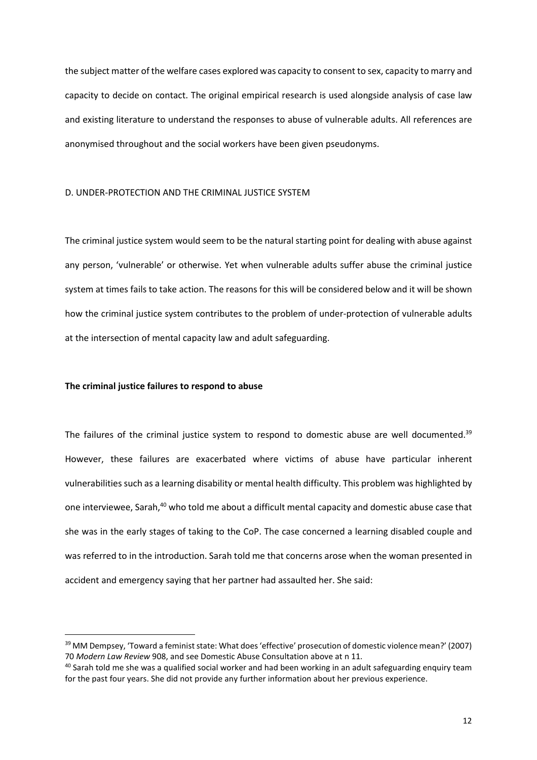the subject matter of the welfare cases explored was capacity to consent to sex, capacity to marry and capacity to decide on contact. The original empirical research is used alongside analysis of case law and existing literature to understand the responses to abuse of vulnerable adults. All references are anonymised throughout and the social workers have been given pseudonyms.

# D. UNDER-PROTECTION AND THE CRIMINAL JUSTICE SYSTEM

The criminal justice system would seem to be the natural starting point for dealing with abuse against any person, 'vulnerable' or otherwise. Yet when vulnerable adults suffer abuse the criminal justice system at times fails to take action. The reasons for this will be considered below and it will be shown how the criminal justice system contributes to the problem of under-protection of vulnerable adults at the intersection of mental capacity law and adult safeguarding.

## **The criminal justice failures to respond to abuse**

The failures of the criminal justice system to respond to domestic abuse are well documented.<sup>39</sup> However, these failures are exacerbated where victims of abuse have particular inherent vulnerabilities such as a learning disability or mental health difficulty. This problem was highlighted by one interviewee, Sarah,<sup>40</sup> who told me about a difficult mental capacity and domestic abuse case that she was in the early stages of taking to the CoP. The case concerned a learning disabled couple and was referred to in the introduction. Sarah told me that concerns arose when the woman presented in accident and emergency saying that her partner had assaulted her. She said:

<sup>&</sup>lt;sup>39</sup> MM Dempsey, 'Toward a feminist state: What does 'effective' prosecution of domestic violence mean?' (2007) 70 *Modern Law Review* 908, and see Domestic Abuse Consultation above at n 11.

<sup>&</sup>lt;sup>40</sup> Sarah told me she was a qualified social worker and had been working in an adult safeguarding enquiry team for the past four years. She did not provide any further information about her previous experience.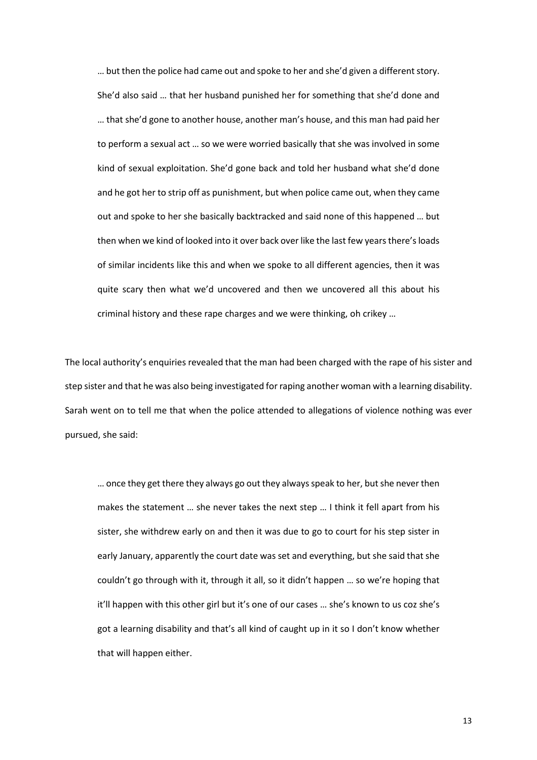… but then the police had came out and spoke to her and she'd given a different story. She'd also said … that her husband punished her for something that she'd done and … that she'd gone to another house, another man's house, and this man had paid her to perform a sexual act … so we were worried basically that she was involved in some kind of sexual exploitation. She'd gone back and told her husband what she'd done and he got her to strip off as punishment, but when police came out, when they came out and spoke to her she basically backtracked and said none of this happened … but then when we kind of looked into it over back over like the last few years there's loads of similar incidents like this and when we spoke to all different agencies, then it was quite scary then what we'd uncovered and then we uncovered all this about his criminal history and these rape charges and we were thinking, oh crikey …

The local authority's enquiries revealed that the man had been charged with the rape of his sister and step sister and that he was also being investigated for raping another woman with a learning disability. Sarah went on to tell me that when the police attended to allegations of violence nothing was ever pursued, she said:

… once they get there they always go out they always speak to her, but she never then makes the statement … she never takes the next step … I think it fell apart from his sister, she withdrew early on and then it was due to go to court for his step sister in early January, apparently the court date was set and everything, but she said that she couldn't go through with it, through it all, so it didn't happen … so we're hoping that it'll happen with this other girl but it's one of our cases … she's known to us coz she's got a learning disability and that's all kind of caught up in it so I don't know whether that will happen either.

13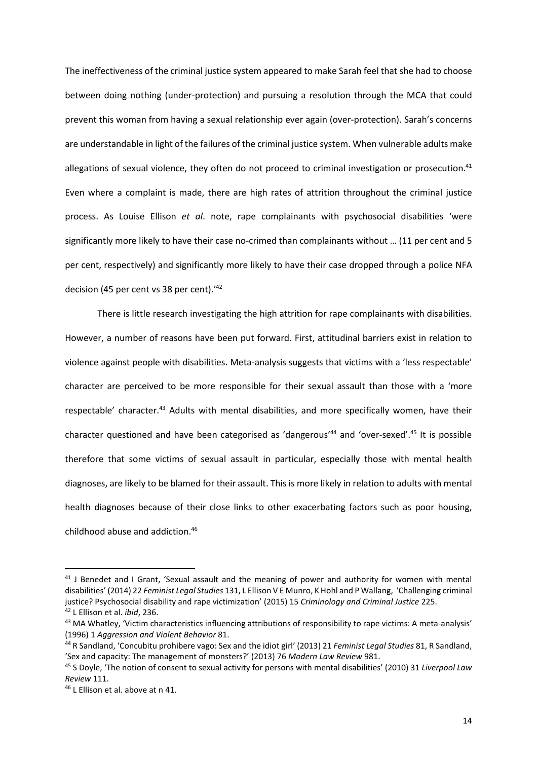The ineffectiveness of the criminal justice system appeared to make Sarah feel that she had to choose between doing nothing (under-protection) and pursuing a resolution through the MCA that could prevent this woman from having a sexual relationship ever again (over-protection). Sarah's concerns are understandable in light of the failures of the criminal justice system. When vulnerable adults make allegations of sexual violence, they often do not proceed to criminal investigation or prosecution.<sup>41</sup> Even where a complaint is made, there are high rates of attrition throughout the criminal justice process. As Louise Ellison *et al*. note, rape complainants with psychosocial disabilities 'were significantly more likely to have their case no-crimed than complainants without … (11 per cent and 5 per cent, respectively) and significantly more likely to have their case dropped through a police NFA decision (45 per cent vs 38 per cent).'<sup>42</sup>

There is little research investigating the high attrition for rape complainants with disabilities. However, a number of reasons have been put forward. First, attitudinal barriers exist in relation to violence against people with disabilities. Meta-analysis suggests that victims with a 'less respectable' character are perceived to be more responsible for their sexual assault than those with a 'more respectable' character.<sup>43</sup> Adults with mental disabilities, and more specifically women, have their character questioned and have been categorised as 'dangerous'<sup>44</sup> and 'over-sexed'.<sup>45</sup> It is possible therefore that some victims of sexual assault in particular, especially those with mental health diagnoses, are likely to be blamed for their assault. This is more likely in relation to adults with mental health diagnoses because of their close links to other exacerbating factors such as poor housing, childhood abuse and addiction.<sup>46</sup>

<sup>&</sup>lt;sup>41</sup> J Benedet and I Grant, 'Sexual assault and the meaning of power and authority for women with mental disabilities' (2014) 22 *Feminist Legal Studies* 131, L Ellison V E Munro, K Hohl and P Wallang, 'Challenging criminal justice? Psychosocial disability and rape victimization' (2015) 15 *Criminology and Criminal Justice* 225. <sup>42</sup> L Ellison et al. *ibid*, 236.

<sup>&</sup>lt;sup>43</sup> MA Whatley, 'Victim characteristics influencing attributions of responsibility to rape victims: A meta-analysis' (1996) 1 *Aggression and Violent Behavior* 81.

<sup>44</sup> R Sandland, 'Concubitu prohibere vago: Sex and the idiot girl' (2013) 21 *Feminist Legal Studies* 81, R Sandland, 'Sex and capacity: The management of monsters?' (2013) 76 *Modern Law Review* 981.

<sup>45</sup> S Doyle, 'The notion of consent to sexual activity for persons with mental disabilities' (2010) 31 *Liverpool Law Review* 111.

<sup>46</sup> L Ellison et al. above at n 41.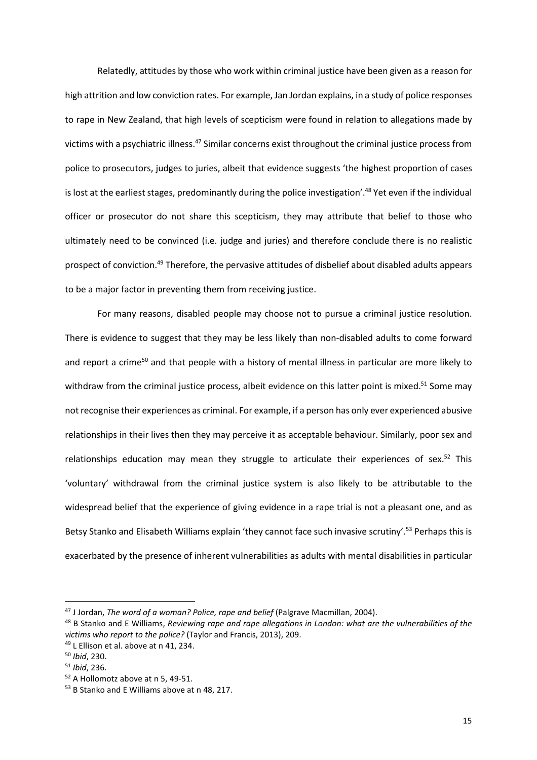Relatedly, attitudes by those who work within criminal justice have been given as a reason for high attrition and low conviction rates. For example, Jan Jordan explains, in a study of police responses to rape in New Zealand, that high levels of scepticism were found in relation to allegations made by victims with a psychiatric illness.<sup>47</sup> Similar concerns exist throughout the criminal justice process from police to prosecutors, judges to juries, albeit that evidence suggests 'the highest proportion of cases is lost at the earliest stages, predominantly during the police investigation'.<sup>48</sup> Yet even if the individual officer or prosecutor do not share this scepticism, they may attribute that belief to those who ultimately need to be convinced (i.e. judge and juries) and therefore conclude there is no realistic prospect of conviction.<sup>49</sup> Therefore, the pervasive attitudes of disbelief about disabled adults appears to be a major factor in preventing them from receiving justice.

For many reasons, disabled people may choose not to pursue a criminal justice resolution. There is evidence to suggest that they may be less likely than non-disabled adults to come forward and report a crime<sup>50</sup> and that people with a history of mental illness in particular are more likely to withdraw from the criminal justice process, albeit evidence on this latter point is mixed.<sup>51</sup> Some may not recognise their experiences as criminal. For example, if a person has only ever experienced abusive relationships in their lives then they may perceive it as acceptable behaviour. Similarly, poor sex and relationships education may mean they struggle to articulate their experiences of sex.<sup>52</sup> This 'voluntary' withdrawal from the criminal justice system is also likely to be attributable to the widespread belief that the experience of giving evidence in a rape trial is not a pleasant one, and as Betsy Stanko and Elisabeth Williams explain 'they cannot face such invasive scrutiny'.<sup>53</sup> Perhaps this is exacerbated by the presence of inherent vulnerabilities as adults with mental disabilities in particular

<sup>47</sup> J Jordan, *The word of a woman? Police, rape and belief* (Palgrave Macmillan, 2004).

<sup>48</sup> B Stanko and E Williams, *Reviewing rape and rape allegations in London: what are the vulnerabilities of the victims who report to the police?* (Taylor and Francis, 2013), 209.

<sup>49</sup> L Ellison et al. above at n 41, 234.

<sup>50</sup> *Ibid*, 230.

<sup>51</sup> *Ibid*, 236.

<sup>52</sup> A Hollomotz above at n 5, 49-51.

<sup>53</sup> B Stanko and E Williams above at n 48, 217.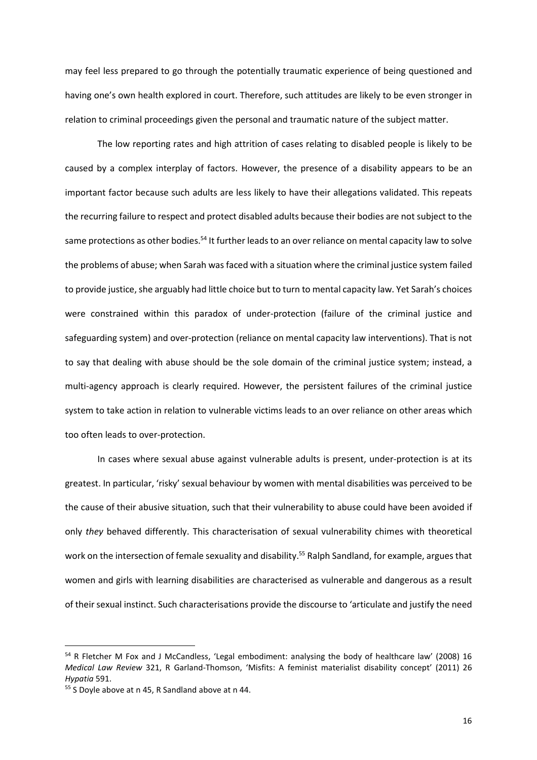may feel less prepared to go through the potentially traumatic experience of being questioned and having one's own health explored in court. Therefore, such attitudes are likely to be even stronger in relation to criminal proceedings given the personal and traumatic nature of the subject matter.

The low reporting rates and high attrition of cases relating to disabled people is likely to be caused by a complex interplay of factors. However, the presence of a disability appears to be an important factor because such adults are less likely to have their allegations validated. This repeats the recurring failure to respect and protect disabled adults because their bodies are not subject to the same protections as other bodies.<sup>54</sup> It further leads to an over reliance on mental capacity law to solve the problems of abuse; when Sarah was faced with a situation where the criminal justice system failed to provide justice, she arguably had little choice but to turn to mental capacity law. Yet Sarah's choices were constrained within this paradox of under-protection (failure of the criminal justice and safeguarding system) and over-protection (reliance on mental capacity law interventions). That is not to say that dealing with abuse should be the sole domain of the criminal justice system; instead, a multi-agency approach is clearly required. However, the persistent failures of the criminal justice system to take action in relation to vulnerable victims leads to an over reliance on other areas which too often leads to over-protection.

In cases where sexual abuse against vulnerable adults is present, under-protection is at its greatest. In particular, 'risky' sexual behaviour by women with mental disabilities was perceived to be the cause of their abusive situation, such that their vulnerability to abuse could have been avoided if only *they* behaved differently. This characterisation of sexual vulnerability chimes with theoretical work on the intersection of female sexuality and disability.<sup>55</sup> Ralph Sandland, for example, argues that women and girls with learning disabilities are characterised as vulnerable and dangerous as a result of their sexual instinct. Such characterisations provide the discourse to 'articulate and justify the need

<sup>54</sup> R Fletcher M Fox and J McCandless, 'Legal embodiment: analysing the body of healthcare law' (2008) 16 *Medical Law Review* 321, R Garland-Thomson, 'Misfits: A feminist materialist disability concept' (2011) 26 *Hypatia* 591.

<sup>55</sup> S Doyle above at n 45, R Sandland above at n 44.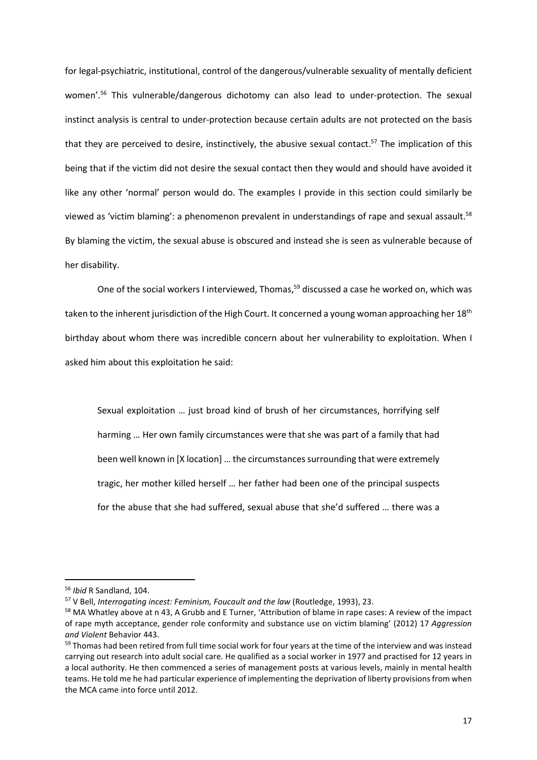for legal-psychiatric, institutional, control of the dangerous/vulnerable sexuality of mentally deficient women'.<sup>56</sup> This vulnerable/dangerous dichotomy can also lead to under-protection. The sexual instinct analysis is central to under-protection because certain adults are not protected on the basis that they are perceived to desire, instinctively, the abusive sexual contact.<sup>57</sup> The implication of this being that if the victim did not desire the sexual contact then they would and should have avoided it like any other 'normal' person would do. The examples I provide in this section could similarly be viewed as 'victim blaming': a phenomenon prevalent in understandings of rape and sexual assault.<sup>58</sup> By blaming the victim, the sexual abuse is obscured and instead she is seen as vulnerable because of her disability.

One of the social workers I interviewed, Thomas,<sup>59</sup> discussed a case he worked on, which was taken to the inherent jurisdiction of the High Court. It concerned a young woman approaching her 18<sup>th</sup> birthday about whom there was incredible concern about her vulnerability to exploitation. When I asked him about this exploitation he said:

Sexual exploitation … just broad kind of brush of her circumstances, horrifying self harming … Her own family circumstances were that she was part of a family that had been well known in [X location] … the circumstances surrounding that were extremely tragic, her mother killed herself … her father had been one of the principal suspects for the abuse that she had suffered, sexual abuse that she'd suffered … there was a

<sup>56</sup> *Ibid* R Sandland, 104.

<sup>57</sup> V Bell, *Interrogating incest: Feminism, Foucault and the law* (Routledge, 1993), 23.

<sup>&</sup>lt;sup>58</sup> MA Whatley above at n 43, A Grubb and E Turner, 'Attribution of blame in rape cases: A review of the impact of rape myth acceptance, gender role conformity and substance use on victim blaming' (2012) 17 *Aggression and Violent* Behavior 443.

<sup>&</sup>lt;sup>59</sup> Thomas had been retired from full time social work for four years at the time of the interview and was instead carrying out research into adult social care. He qualified as a social worker in 1977 and practised for 12 years in a local authority. He then commenced a series of management posts at various levels, mainly in mental health teams. He told me he had particular experience of implementing the deprivation of liberty provisions from when the MCA came into force until 2012.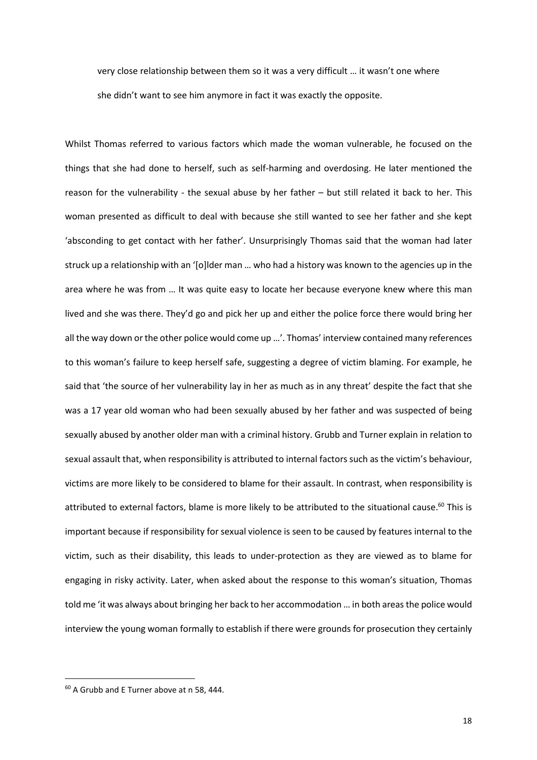very close relationship between them so it was a very difficult … it wasn't one where she didn't want to see him anymore in fact it was exactly the opposite.

Whilst Thomas referred to various factors which made the woman vulnerable, he focused on the things that she had done to herself, such as self-harming and overdosing. He later mentioned the reason for the vulnerability - the sexual abuse by her father – but still related it back to her. This woman presented as difficult to deal with because she still wanted to see her father and she kept 'absconding to get contact with her father'. Unsurprisingly Thomas said that the woman had later struck up a relationship with an '[o]lder man … who had a history was known to the agencies up in the area where he was from … It was quite easy to locate her because everyone knew where this man lived and she was there. They'd go and pick her up and either the police force there would bring her all the way down or the other police would come up …'. Thomas' interview contained many references to this woman's failure to keep herself safe, suggesting a degree of victim blaming. For example, he said that 'the source of her vulnerability lay in her as much as in any threat' despite the fact that she was a 17 year old woman who had been sexually abused by her father and was suspected of being sexually abused by another older man with a criminal history. Grubb and Turner explain in relation to sexual assault that, when responsibility is attributed to internal factors such as the victim's behaviour, victims are more likely to be considered to blame for their assault. In contrast, when responsibility is attributed to external factors, blame is more likely to be attributed to the situational cause.<sup>60</sup> This is important because if responsibility for sexual violence is seen to be caused by features internal to the victim, such as their disability, this leads to under-protection as they are viewed as to blame for engaging in risky activity. Later, when asked about the response to this woman's situation, Thomas told me 'it was always about bringing her back to her accommodation … in both areas the police would interview the young woman formally to establish if there were grounds for prosecution they certainly

<sup>60</sup> A Grubb and E Turner above at n 58, 444.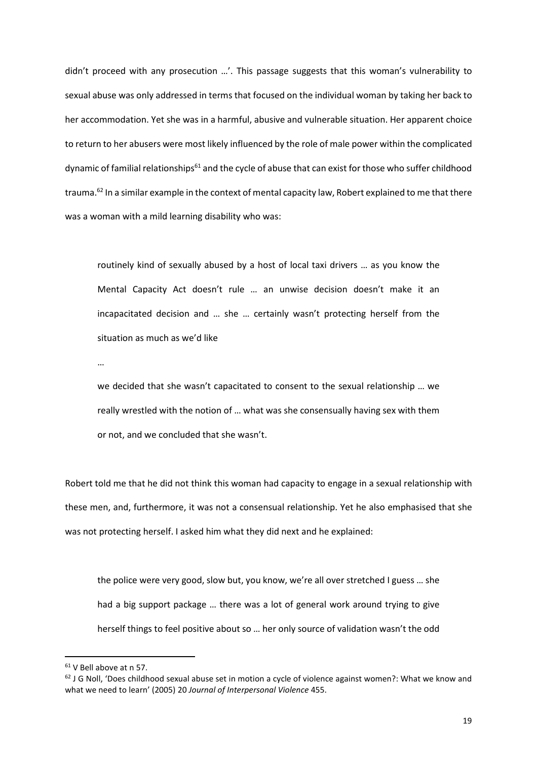didn't proceed with any prosecution …'. This passage suggests that this woman's vulnerability to sexual abuse was only addressed in terms that focused on the individual woman by taking her back to her accommodation. Yet she was in a harmful, abusive and vulnerable situation. Her apparent choice to return to her abusers were most likely influenced by the role of male power within the complicated dynamic of familial relationships<sup>61</sup> and the cycle of abuse that can exist for those who suffer childhood trauma.<sup>62</sup> In a similar example in the context of mental capacity law, Robert explained to me that there was a woman with a mild learning disability who was:

routinely kind of sexually abused by a host of local taxi drivers … as you know the Mental Capacity Act doesn't rule … an unwise decision doesn't make it an incapacitated decision and … she … certainly wasn't protecting herself from the situation as much as we'd like

…

we decided that she wasn't capacitated to consent to the sexual relationship … we really wrestled with the notion of … what was she consensually having sex with them or not, and we concluded that she wasn't.

Robert told me that he did not think this woman had capacity to engage in a sexual relationship with these men, and, furthermore, it was not a consensual relationship. Yet he also emphasised that she was not protecting herself. I asked him what they did next and he explained:

the police were very good, slow but, you know, we're all over stretched I guess … she had a big support package … there was a lot of general work around trying to give herself things to feel positive about so … her only source of validation wasn't the odd

<sup>61</sup> V Bell above at n 57.

 $62$  J G Noll, 'Does childhood sexual abuse set in motion a cycle of violence against women?: What we know and what we need to learn' (2005) 20 *Journal of Interpersonal Violence* 455.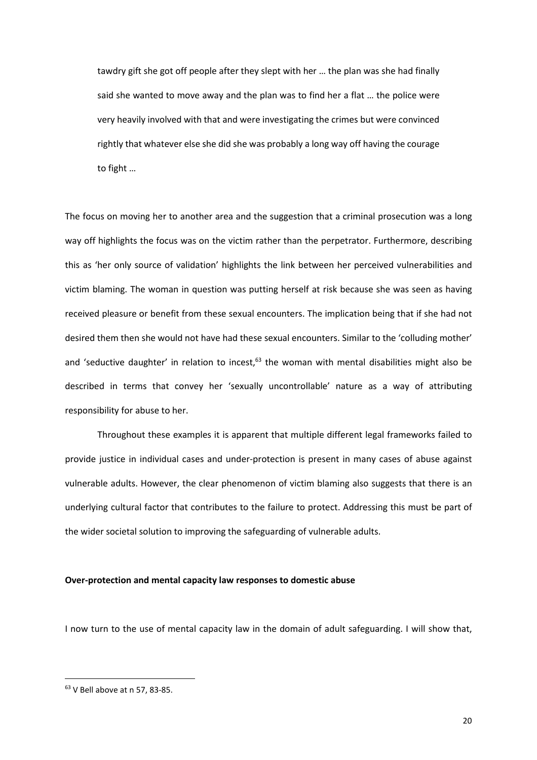tawdry gift she got off people after they slept with her … the plan was she had finally said she wanted to move away and the plan was to find her a flat … the police were very heavily involved with that and were investigating the crimes but were convinced rightly that whatever else she did she was probably a long way off having the courage to fight …

The focus on moving her to another area and the suggestion that a criminal prosecution was a long way off highlights the focus was on the victim rather than the perpetrator. Furthermore, describing this as 'her only source of validation' highlights the link between her perceived vulnerabilities and victim blaming. The woman in question was putting herself at risk because she was seen as having received pleasure or benefit from these sexual encounters. The implication being that if she had not desired them then she would not have had these sexual encounters. Similar to the 'colluding mother' and 'seductive daughter' in relation to incest, $63$  the woman with mental disabilities might also be described in terms that convey her 'sexually uncontrollable' nature as a way of attributing responsibility for abuse to her.

 Throughout these examples it is apparent that multiple different legal frameworks failed to provide justice in individual cases and under-protection is present in many cases of abuse against vulnerable adults. However, the clear phenomenon of victim blaming also suggests that there is an underlying cultural factor that contributes to the failure to protect. Addressing this must be part of the wider societal solution to improving the safeguarding of vulnerable adults.

# **Over-protection and mental capacity law responses to domestic abuse**

I now turn to the use of mental capacity law in the domain of adult safeguarding. I will show that,

<sup>63</sup> V Bell above at n 57, 83-85.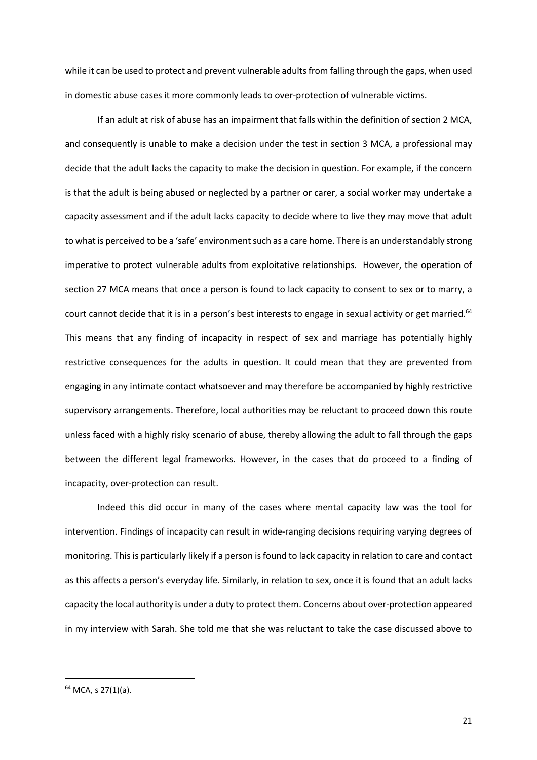while it can be used to protect and prevent vulnerable adults from falling through the gaps, when used in domestic abuse cases it more commonly leads to over-protection of vulnerable victims.

If an adult at risk of abuse has an impairment that falls within the definition of section 2 MCA, and consequently is unable to make a decision under the test in section 3 MCA, a professional may decide that the adult lacks the capacity to make the decision in question. For example, if the concern is that the adult is being abused or neglected by a partner or carer, a social worker may undertake a capacity assessment and if the adult lacks capacity to decide where to live they may move that adult to what is perceived to be a 'safe' environment such as a care home. There is an understandably strong imperative to protect vulnerable adults from exploitative relationships. However, the operation of section 27 MCA means that once a person is found to lack capacity to consent to sex or to marry, a court cannot decide that it is in a person's best interests to engage in sexual activity or get married.<sup>64</sup> This means that any finding of incapacity in respect of sex and marriage has potentially highly restrictive consequences for the adults in question. It could mean that they are prevented from engaging in any intimate contact whatsoever and may therefore be accompanied by highly restrictive supervisory arrangements. Therefore, local authorities may be reluctant to proceed down this route unless faced with a highly risky scenario of abuse, thereby allowing the adult to fall through the gaps between the different legal frameworks. However, in the cases that do proceed to a finding of incapacity, over-protection can result.

Indeed this did occur in many of the cases where mental capacity law was the tool for intervention. Findings of incapacity can result in wide-ranging decisions requiring varying degrees of monitoring. This is particularly likely if a person is found to lack capacity in relation to care and contact as this affects a person's everyday life. Similarly, in relation to sex, once it is found that an adult lacks capacity the local authority is under a duty to protect them. Concerns about over-protection appeared in my interview with Sarah. She told me that she was reluctant to take the case discussed above to

<sup>64</sup> MCA, s 27(1)(a).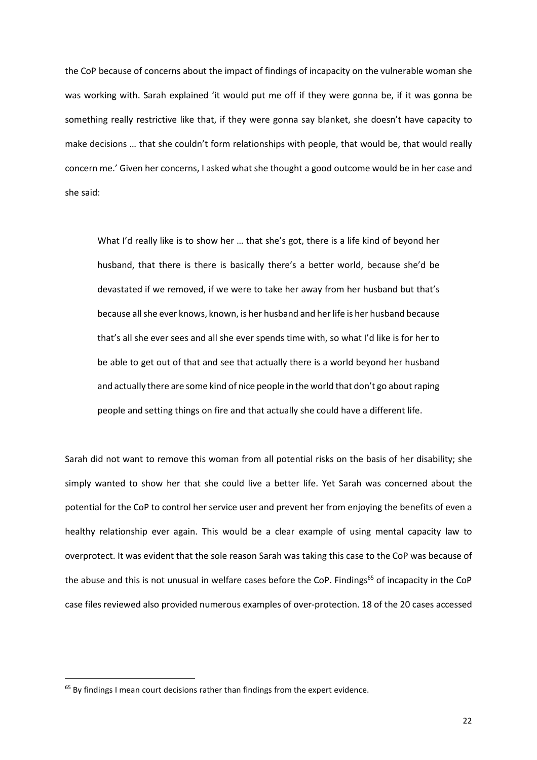the CoP because of concerns about the impact of findings of incapacity on the vulnerable woman she was working with. Sarah explained 'it would put me off if they were gonna be, if it was gonna be something really restrictive like that, if they were gonna say blanket, she doesn't have capacity to make decisions … that she couldn't form relationships with people, that would be, that would really concern me.' Given her concerns, I asked what she thought a good outcome would be in her case and she said:

What I'd really like is to show her … that she's got, there is a life kind of beyond her husband, that there is there is basically there's a better world, because she'd be devastated if we removed, if we were to take her away from her husband but that's because all she ever knows, known, is her husband and her life is her husband because that's all she ever sees and all she ever spends time with, so what I'd like is for her to be able to get out of that and see that actually there is a world beyond her husband and actually there are some kind of nice people in the world that don't go about raping people and setting things on fire and that actually she could have a different life.

Sarah did not want to remove this woman from all potential risks on the basis of her disability; she simply wanted to show her that she could live a better life. Yet Sarah was concerned about the potential for the CoP to control her service user and prevent her from enjoying the benefits of even a healthy relationship ever again. This would be a clear example of using mental capacity law to overprotect. It was evident that the sole reason Sarah was taking this case to the CoP was because of the abuse and this is not unusual in welfare cases before the CoP. Findings<sup>65</sup> of incapacity in the CoP case files reviewed also provided numerous examples of over-protection. 18 of the 20 cases accessed

<sup>&</sup>lt;sup>65</sup> By findings I mean court decisions rather than findings from the expert evidence.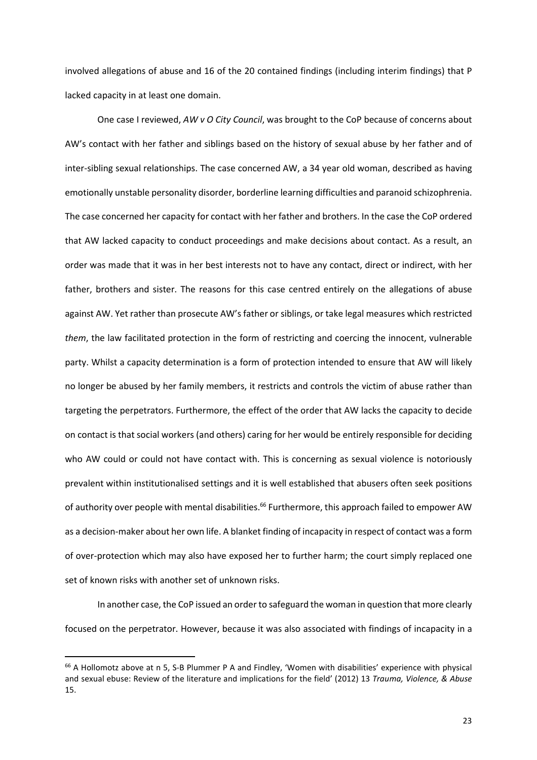involved allegations of abuse and 16 of the 20 contained findings (including interim findings) that P lacked capacity in at least one domain.

One case I reviewed, *AW v O City Council*, was brought to the CoP because of concerns about AW's contact with her father and siblings based on the history of sexual abuse by her father and of inter-sibling sexual relationships. The case concerned AW, a 34 year old woman, described as having emotionally unstable personality disorder, borderline learning difficulties and paranoid schizophrenia. The case concerned her capacity for contact with her father and brothers. In the case the CoP ordered that AW lacked capacity to conduct proceedings and make decisions about contact. As a result, an order was made that it was in her best interests not to have any contact, direct or indirect, with her father, brothers and sister. The reasons for this case centred entirely on the allegations of abuse against AW. Yet rather than prosecute AW's father or siblings, or take legal measures which restricted *them*, the law facilitated protection in the form of restricting and coercing the innocent, vulnerable party. Whilst a capacity determination is a form of protection intended to ensure that AW will likely no longer be abused by her family members, it restricts and controls the victim of abuse rather than targeting the perpetrators. Furthermore, the effect of the order that AW lacks the capacity to decide on contact is that social workers (and others) caring for her would be entirely responsible for deciding who AW could or could not have contact with. This is concerning as sexual violence is notoriously prevalent within institutionalised settings and it is well established that abusers often seek positions of authority over people with mental disabilities.<sup>66</sup> Furthermore, this approach failed to empower AW as a decision-maker about her own life. A blanket finding of incapacity in respect of contact was a form of over-protection which may also have exposed her to further harm; the court simply replaced one set of known risks with another set of unknown risks.

In another case, the CoP issued an order to safeguard the woman in question that more clearly focused on the perpetrator. However, because it was also associated with findings of incapacity in a

<sup>66</sup> A Hollomotz above at n 5, S-B Plummer P A and Findley, 'Women with disabilities' experience with physical and sexual ebuse: Review of the literature and implications for the field' (2012) 13 *Trauma, Violence, & Abuse* 15.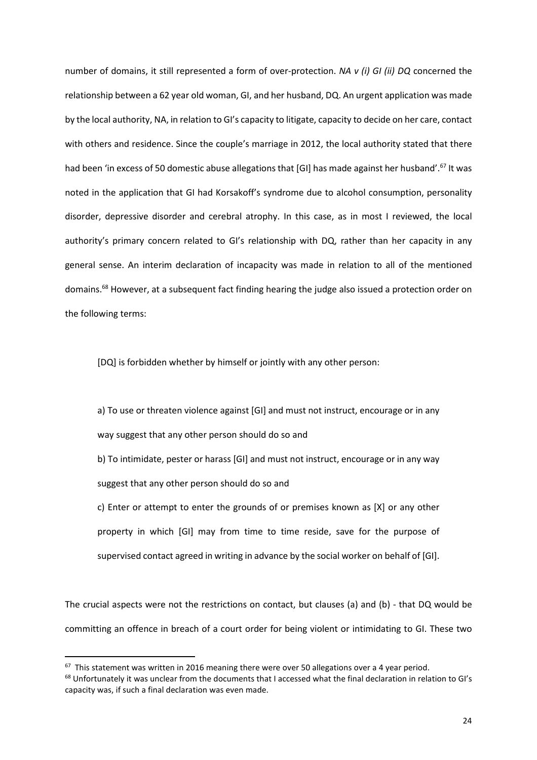number of domains, it still represented a form of over-protection. *NA v (i) GI (ii) DQ* concerned the relationship between a 62 year old woman, GI, and her husband, DQ. An urgent application was made by the local authority, NA, in relation to GI's capacity to litigate, capacity to decide on her care, contact with others and residence. Since the couple's marriage in 2012, the local authority stated that there had been 'in excess of 50 domestic abuse allegations that [GI] has made against her husband'.<sup>67</sup> It was noted in the application that GI had Korsakoff's syndrome due to alcohol consumption, personality disorder, depressive disorder and cerebral atrophy. In this case, as in most I reviewed, the local authority's primary concern related to GI's relationship with DQ, rather than her capacity in any general sense. An interim declaration of incapacity was made in relation to all of the mentioned domains.<sup>68</sup> However, at a subsequent fact finding hearing the judge also issued a protection order on the following terms:

[DQ] is forbidden whether by himself or jointly with any other person:

a) To use or threaten violence against [GI] and must not instruct, encourage or in any way suggest that any other person should do so and

b) To intimidate, pester or harass [GI] and must not instruct, encourage or in any way suggest that any other person should do so and

c) Enter or attempt to enter the grounds of or premises known as [X] or any other property in which [GI] may from time to time reside, save for the purpose of supervised contact agreed in writing in advance by the social worker on behalf of [GI].

The crucial aspects were not the restrictions on contact, but clauses (a) and (b) - that DQ would be committing an offence in breach of a court order for being violent or intimidating to GI. These two

 $67$  This statement was written in 2016 meaning there were over 50 allegations over a 4 year period.

<sup>&</sup>lt;sup>68</sup> Unfortunately it was unclear from the documents that I accessed what the final declaration in relation to GI's capacity was, if such a final declaration was even made.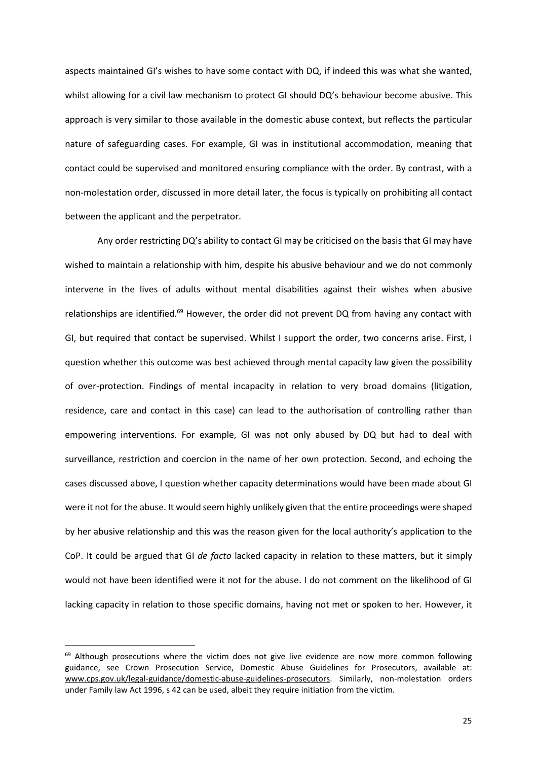aspects maintained GI's wishes to have some contact with DQ, if indeed this was what she wanted, whilst allowing for a civil law mechanism to protect GI should DQ's behaviour become abusive. This approach is very similar to those available in the domestic abuse context, but reflects the particular nature of safeguarding cases. For example, GI was in institutional accommodation, meaning that contact could be supervised and monitored ensuring compliance with the order. By contrast, with a non-molestation order, discussed in more detail later, the focus is typically on prohibiting all contact between the applicant and the perpetrator.

Any order restricting DQ's ability to contact GI may be criticised on the basis that GI may have wished to maintain a relationship with him, despite his abusive behaviour and we do not commonly intervene in the lives of adults without mental disabilities against their wishes when abusive relationships are identified.<sup>69</sup> However, the order did not prevent DQ from having any contact with GI, but required that contact be supervised. Whilst I support the order, two concerns arise. First, I question whether this outcome was best achieved through mental capacity law given the possibility of over-protection. Findings of mental incapacity in relation to very broad domains (litigation, residence, care and contact in this case) can lead to the authorisation of controlling rather than empowering interventions. For example, GI was not only abused by DQ but had to deal with surveillance, restriction and coercion in the name of her own protection. Second, and echoing the cases discussed above, I question whether capacity determinations would have been made about GI were it not for the abuse. It would seem highly unlikely given that the entire proceedings were shaped by her abusive relationship and this was the reason given for the local authority's application to the CoP. It could be argued that GI *de facto* lacked capacity in relation to these matters, but it simply would not have been identified were it not for the abuse. I do not comment on the likelihood of GI lacking capacity in relation to those specific domains, having not met or spoken to her. However, it

<sup>&</sup>lt;sup>69</sup> Although prosecutions where the victim does not give live evidence are now more common following guidance, see Crown Prosecution Service, Domestic Abuse Guidelines for Prosecutors, available at: www.cps.gov.uk/legal-guidance/domestic-abuse-guidelines-prosecutors. Similarly, non-molestation orders under Family law Act 1996, s 42 can be used, albeit they require initiation from the victim.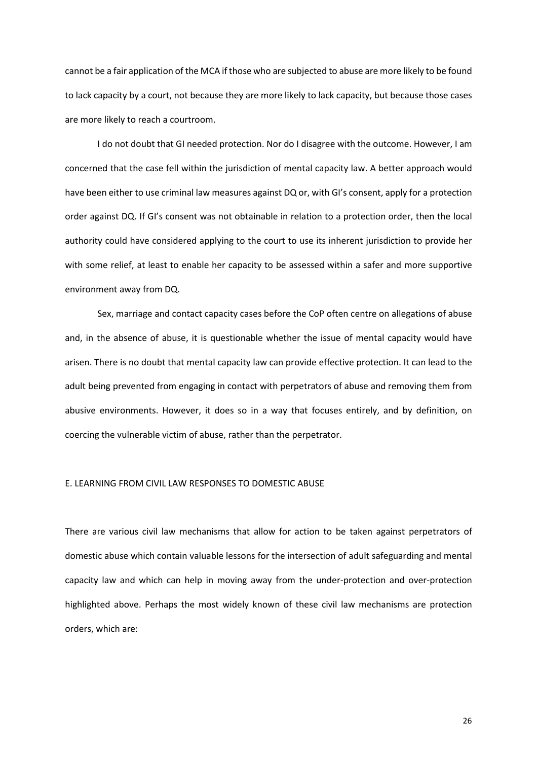cannot be a fair application of the MCA if those who are subjected to abuse are more likely to be found to lack capacity by a court, not because they are more likely to lack capacity, but because those cases are more likely to reach a courtroom.

I do not doubt that GI needed protection. Nor do I disagree with the outcome. However, I am concerned that the case fell within the jurisdiction of mental capacity law. A better approach would have been either to use criminal law measures against DQ or, with GI's consent, apply for a protection order against DQ. If GI's consent was not obtainable in relation to a protection order, then the local authority could have considered applying to the court to use its inherent jurisdiction to provide her with some relief, at least to enable her capacity to be assessed within a safer and more supportive environment away from DQ.

 Sex, marriage and contact capacity cases before the CoP often centre on allegations of abuse and, in the absence of abuse, it is questionable whether the issue of mental capacity would have arisen. There is no doubt that mental capacity law can provide effective protection. It can lead to the adult being prevented from engaging in contact with perpetrators of abuse and removing them from abusive environments. However, it does so in a way that focuses entirely, and by definition, on coercing the vulnerable victim of abuse, rather than the perpetrator.

#### E. LEARNING FROM CIVIL LAW RESPONSES TO DOMESTIC ABUSE

There are various civil law mechanisms that allow for action to be taken against perpetrators of domestic abuse which contain valuable lessons for the intersection of adult safeguarding and mental capacity law and which can help in moving away from the under-protection and over-protection highlighted above. Perhaps the most widely known of these civil law mechanisms are protection orders, which are: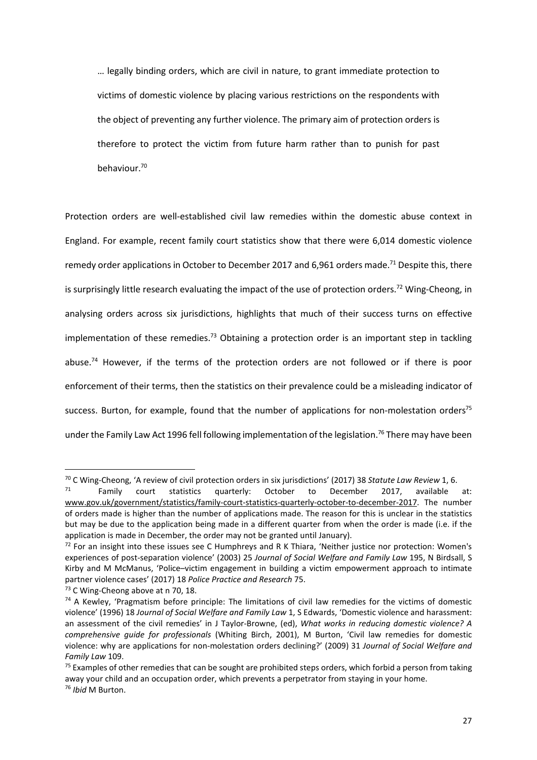… legally binding orders, which are civil in nature, to grant immediate protection to victims of domestic violence by placing various restrictions on the respondents with the object of preventing any further violence. The primary aim of protection orders is therefore to protect the victim from future harm rather than to punish for past behaviour.<sup>70</sup>

Protection orders are well-established civil law remedies within the domestic abuse context in England. For example, recent family court statistics show that there were 6,014 domestic violence remedy order applications in October to December 2017 and 6.961 orders made.<sup>71</sup> Despite this, there is surprisingly little research evaluating the impact of the use of protection orders.<sup>72</sup> Wing-Cheong, in analysing orders across six jurisdictions, highlights that much of their success turns on effective implementation of these remedies.<sup>73</sup> Obtaining a protection order is an important step in tackling abuse.<sup>74</sup> However, if the terms of the protection orders are not followed or if there is poor enforcement of their terms, then the statistics on their prevalence could be a misleading indicator of success. Burton, for example, found that the number of applications for non-molestation orders<sup>75</sup> under the Family Law Act 1996 fell following implementation of the legislation.<sup>76</sup> There may have been

<sup>70</sup> C Wing-Cheong, 'A review of civil protection orders in six jurisdictions' (2017) 38 *Statute Law Review* 1, 6.

 $71$  Family court statistics quarterly: October to December 2017, available at: www.gov.uk/government/statistics/family-court-statistics-quarterly-october-to-december-2017. The number of orders made is higher than the number of applications made. The reason for this is unclear in the statistics but may be due to the application being made in a different quarter from when the order is made (i.e. if the application is made in December, the order may not be granted until January).

<sup>&</sup>lt;sup>72</sup> For an insight into these issues see C Humphreys and R K Thiara, 'Neither justice nor protection: Women's experiences of post-separation violence' (2003) 25 *Journal of Social Welfare and Family Law* 195, N Birdsall, S Kirby and M McManus, 'Police–victim engagement in building a victim empowerment approach to intimate partner violence cases' (2017) 18 *Police Practice and Research* 75.

<sup>&</sup>lt;sup>73</sup> C Wing-Cheong above at n 70, 18.

 $74$  A Kewley, 'Pragmatism before principle: The limitations of civil law remedies for the victims of domestic violence' (1996) 18 *Journal of Social Welfare and Family Law* 1, S Edwards, 'Domestic violence and harassment: an assessment of the civil remedies' in J Taylor-Browne, (ed), *What works in reducing domestic violence? A comprehensive guide for professionals* (Whiting Birch, 2001), M Burton, 'Civil law remedies for domestic violence: why are applications for non-molestation orders declining?' (2009) 31 *Journal of Social Welfare and Family Law* 109.

 $75$  Examples of other remedies that can be sought are prohibited steps orders, which forbid a person from taking away your child and an occupation order, which prevents a perpetrator from staying in your home. <sup>76</sup> *Ibid* M Burton.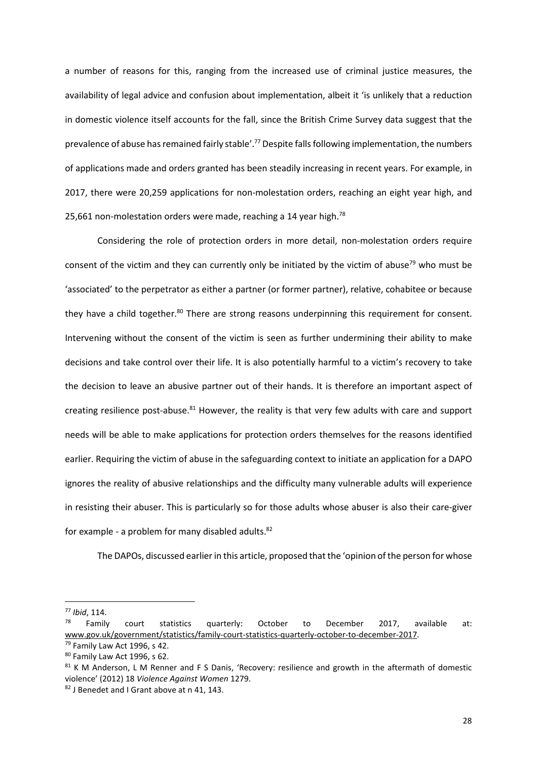a number of reasons for this, ranging from the increased use of criminal justice measures, the availability of legal advice and confusion about implementation, albeit it 'is unlikely that a reduction in domestic violence itself accounts for the fall, since the British Crime Survey data suggest that the prevalence of abuse has remained fairly stable'.<sup>77</sup> Despite falls following implementation, the numbers of applications made and orders granted has been steadily increasing in recent years. For example, in 2017, there were 20,259 applications for non-molestation orders, reaching an eight year high, and 25,661 non-molestation orders were made, reaching a 14 year high.<sup>78</sup>

Considering the role of protection orders in more detail, non-molestation orders require consent of the victim and they can currently only be initiated by the victim of abuse<sup>79</sup> who must be 'associated' to the perpetrator as either a partner (or former partner), relative, cohabitee or because they have a child together.<sup>80</sup> There are strong reasons underpinning this requirement for consent. Intervening without the consent of the victim is seen as further undermining their ability to make decisions and take control over their life. It is also potentially harmful to a victim's recovery to take the decision to leave an abusive partner out of their hands. It is therefore an important aspect of creating resilience post-abuse.<sup>81</sup> However, the reality is that very few adults with care and support needs will be able to make applications for protection orders themselves for the reasons identified earlier. Requiring the victim of abuse in the safeguarding context to initiate an application for a DAPO ignores the reality of abusive relationships and the difficulty many vulnerable adults will experience in resisting their abuser. This is particularly so for those adults whose abuser is also their care-giver for example - a problem for many disabled adults. $82$ 

The DAPOs, discussed earlier in this article, proposed that the 'opinion of the person for whose

<sup>77</sup> *Ibid*, 114.

<sup>&</sup>lt;sup>78</sup> Family court statistics quarterly: October to December 2017, available at: www.gov.uk/government/statistics/family-court-statistics-quarterly-october-to-december-2017.

<sup>&</sup>lt;sup>79</sup> Family Law Act 1996, s 42.

<sup>80</sup> Family Law Act 1996, s 62.

<sup>81</sup> K M Anderson, L M Renner and F S Danis, 'Recovery: resilience and growth in the aftermath of domestic violence' (2012) 18 *Violence Against Women* 1279.

<sup>82</sup> J Benedet and I Grant above at n 41, 143.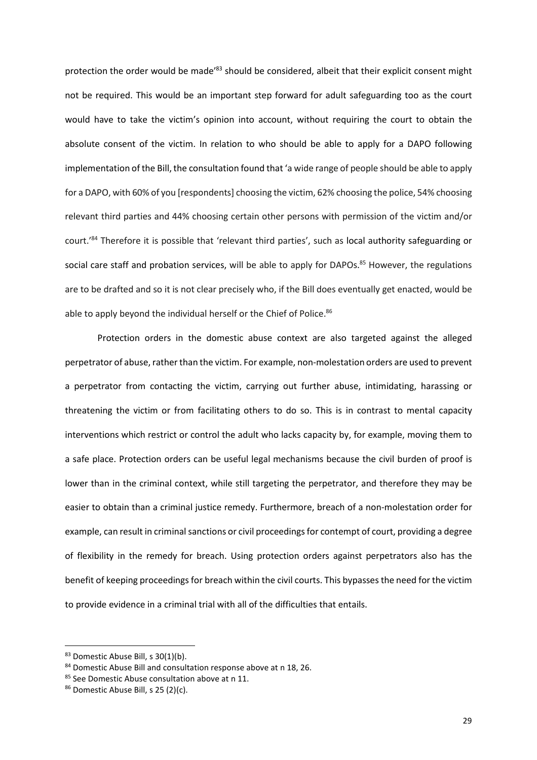protection the order would be made<sup>'83</sup> should be considered, albeit that their explicit consent might not be required. This would be an important step forward for adult safeguarding too as the court would have to take the victim's opinion into account, without requiring the court to obtain the absolute consent of the victim. In relation to who should be able to apply for a DAPO following implementation of the Bill, the consultation found that 'a wide range of people should be able to apply for a DAPO, with 60% of you [respondents] choosing the victim, 62% choosing the police, 54% choosing relevant third parties and 44% choosing certain other persons with permission of the victim and/or court.'<sup>84</sup> Therefore it is possible that 'relevant third parties', such as local authority safeguarding or social care staff and probation services, will be able to apply for DAPOs.<sup>85</sup> However, the regulations are to be drafted and so it is not clear precisely who, if the Bill does eventually get enacted, would be able to apply beyond the individual herself or the Chief of Police.<sup>86</sup>

Protection orders in the domestic abuse context are also targeted against the alleged perpetrator of abuse, rather than the victim. For example, non-molestation orders are used to prevent a perpetrator from contacting the victim, carrying out further abuse, intimidating, harassing or threatening the victim or from facilitating others to do so. This is in contrast to mental capacity interventions which restrict or control the adult who lacks capacity by, for example, moving them to a safe place. Protection orders can be useful legal mechanisms because the civil burden of proof is lower than in the criminal context, while still targeting the perpetrator, and therefore they may be easier to obtain than a criminal justice remedy. Furthermore, breach of a non-molestation order for example, can result in criminal sanctions or civil proceedings for contempt of court, providing a degree of flexibility in the remedy for breach. Using protection orders against perpetrators also has the benefit of keeping proceedings for breach within the civil courts. This bypasses the need for the victim to provide evidence in a criminal trial with all of the difficulties that entails.

<sup>83</sup> Domestic Abuse Bill, s 30(1)(b).

<sup>84</sup> Domestic Abuse Bill and consultation response above at n 18, 26.

<sup>85</sup> See Domestic Abuse consultation above at n 11.

<sup>86</sup> Domestic Abuse Bill, s 25 (2)(c).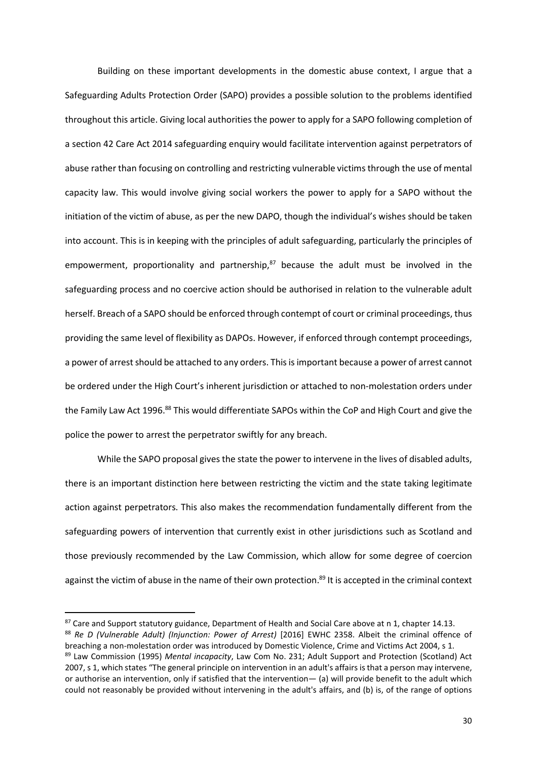Building on these important developments in the domestic abuse context, I argue that a Safeguarding Adults Protection Order (SAPO) provides a possible solution to the problems identified throughout this article. Giving local authorities the power to apply for a SAPO following completion of a section 42 Care Act 2014 safeguarding enquiry would facilitate intervention against perpetrators of abuse rather than focusing on controlling and restricting vulnerable victims through the use of mental capacity law. This would involve giving social workers the power to apply for a SAPO without the initiation of the victim of abuse, as per the new DAPO, though the individual's wishes should be taken into account. This is in keeping with the principles of adult safeguarding, particularly the principles of empowerment, proportionality and partnership, $87$  because the adult must be involved in the safeguarding process and no coercive action should be authorised in relation to the vulnerable adult herself. Breach of a SAPO should be enforced through contempt of court or criminal proceedings, thus providing the same level of flexibility as DAPOs. However, if enforced through contempt proceedings, a power of arrest should be attached to any orders. This is important because a power of arrest cannot be ordered under the High Court's inherent jurisdiction or attached to non-molestation orders under the Family Law Act 1996.<sup>88</sup> This would differentiate SAPOs within the CoP and High Court and give the police the power to arrest the perpetrator swiftly for any breach.

While the SAPO proposal gives the state the power to intervene in the lives of disabled adults, there is an important distinction here between restricting the victim and the state taking legitimate action against perpetrators. This also makes the recommendation fundamentally different from the safeguarding powers of intervention that currently exist in other jurisdictions such as Scotland and those previously recommended by the Law Commission, which allow for some degree of coercion against the victim of abuse in the name of their own protection.<sup>89</sup> It is accepted in the criminal context

<sup>87</sup> Care and Support statutory guidance, Department of Health and Social Care above at n 1, chapter 14.13. <sup>88</sup> *Re D (Vulnerable Adult) (Injunction: Power of Arrest)* [2016] EWHC 2358. Albeit the criminal offence of breaching a non-molestation order was introduced by Domestic Violence, Crime and Victims Act 2004, s 1.

<sup>89</sup> Law Commission (1995) *Mental incapacity*, Law Com No. 231; Adult Support and Protection (Scotland) Act 2007, s 1, which states "The general principle on intervention in an adult's affairs is that a person may intervene, or authorise an intervention, only if satisfied that the intervention— (a) will provide benefit to the adult which could not reasonably be provided without intervening in the adult's affairs, and (b) is, of the range of options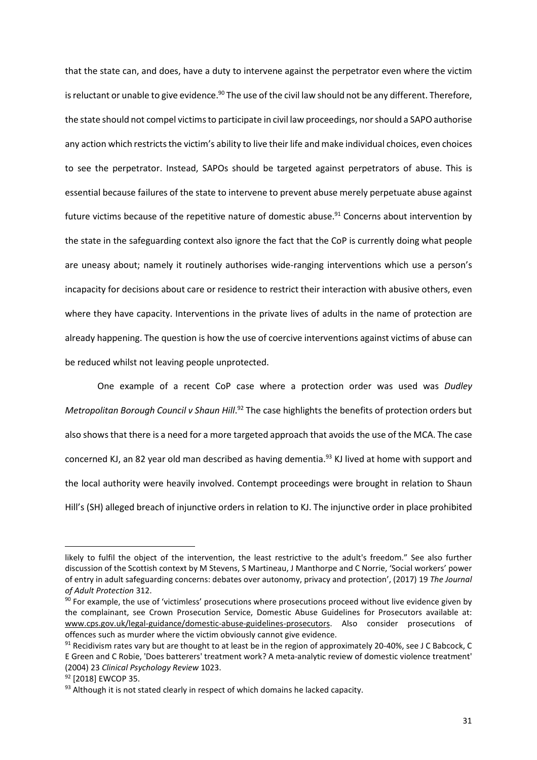that the state can, and does, have a duty to intervene against the perpetrator even where the victim is reluctant or unable to give evidence.<sup>90</sup> The use of the civil law should not be any different. Therefore, the state should not compel victims to participate in civil law proceedings, nor should a SAPO authorise any action which restricts the victim's ability to live their life and make individual choices, even choices to see the perpetrator. Instead, SAPOs should be targeted against perpetrators of abuse. This is essential because failures of the state to intervene to prevent abuse merely perpetuate abuse against future victims because of the repetitive nature of domestic abuse.<sup>91</sup> Concerns about intervention by the state in the safeguarding context also ignore the fact that the CoP is currently doing what people are uneasy about; namely it routinely authorises wide-ranging interventions which use a person's incapacity for decisions about care or residence to restrict their interaction with abusive others, even where they have capacity. Interventions in the private lives of adults in the name of protection are already happening. The question is how the use of coercive interventions against victims of abuse can be reduced whilst not leaving people unprotected.

One example of a recent CoP case where a protection order was used was *Dudley*  Metropolitan Borough Council v Shaun Hill.<sup>92</sup> The case highlights the benefits of protection orders but also shows that there is a need for a more targeted approach that avoids the use of the MCA. The case concerned KJ, an 82 year old man described as having dementia.<sup>93</sup> KJ lived at home with support and the local authority were heavily involved. Contempt proceedings were brought in relation to Shaun Hill's (SH) alleged breach of injunctive orders in relation to KJ. The injunctive order in place prohibited

likely to fulfil the object of the intervention, the least restrictive to the adult's freedom." See also further discussion of the Scottish context by M Stevens, S Martineau, J Manthorpe and C Norrie, 'Social workers' power of entry in adult safeguarding concerns: debates over autonomy, privacy and protection', (2017) 19 *The Journal of Adult Protection* 312.

<sup>90</sup> For example, the use of 'victimless' prosecutions where prosecutions proceed without live evidence given by the complainant, see Crown Prosecution Service, Domestic Abuse Guidelines for Prosecutors available at: www.cps.gov.uk/legal-guidance/domestic-abuse-guidelines-prosecutors. Also consider prosecutions of offences such as murder where the victim obviously cannot give evidence.

 $91$  Recidivism rates vary but are thought to at least be in the region of approximately 20-40%, see J C Babcock, C E Green and C Robie, 'Does batterers' treatment work? A meta-analytic review of domestic violence treatment' (2004) 23 *Clinical Psychology Review* 1023.

<sup>92 [2018]</sup> EWCOP 35.

<sup>93</sup> Although it is not stated clearly in respect of which domains he lacked capacity.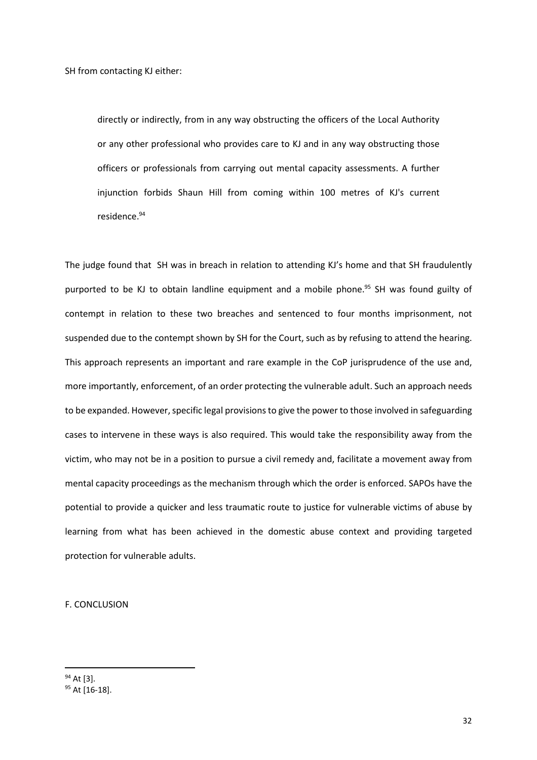SH from contacting KJ either:

directly or indirectly, from in any way obstructing the officers of the Local Authority or any other professional who provides care to KJ and in any way obstructing those officers or professionals from carrying out mental capacity assessments. A further injunction forbids Shaun Hill from coming within 100 metres of KJ's current residence.<sup>94</sup>

The judge found that SH was in breach in relation to attending KJ's home and that SH fraudulently purported to be KJ to obtain landline equipment and a mobile phone.<sup>95</sup> SH was found guilty of contempt in relation to these two breaches and sentenced to four months imprisonment, not suspended due to the contempt shown by SH for the Court, such as by refusing to attend the hearing. This approach represents an important and rare example in the CoP jurisprudence of the use and, more importantly, enforcement, of an order protecting the vulnerable adult. Such an approach needs to be expanded. However, specific legal provisions to give the power to those involved in safeguarding cases to intervene in these ways is also required. This would take the responsibility away from the victim, who may not be in a position to pursue a civil remedy and, facilitate a movement away from mental capacity proceedings as the mechanism through which the order is enforced. SAPOs have the potential to provide a quicker and less traumatic route to justice for vulnerable victims of abuse by learning from what has been achieved in the domestic abuse context and providing targeted protection for vulnerable adults.

F. CONCLUSION

<sup>&</sup>lt;sup>94</sup> At [3].

<sup>95</sup> At [16-18].